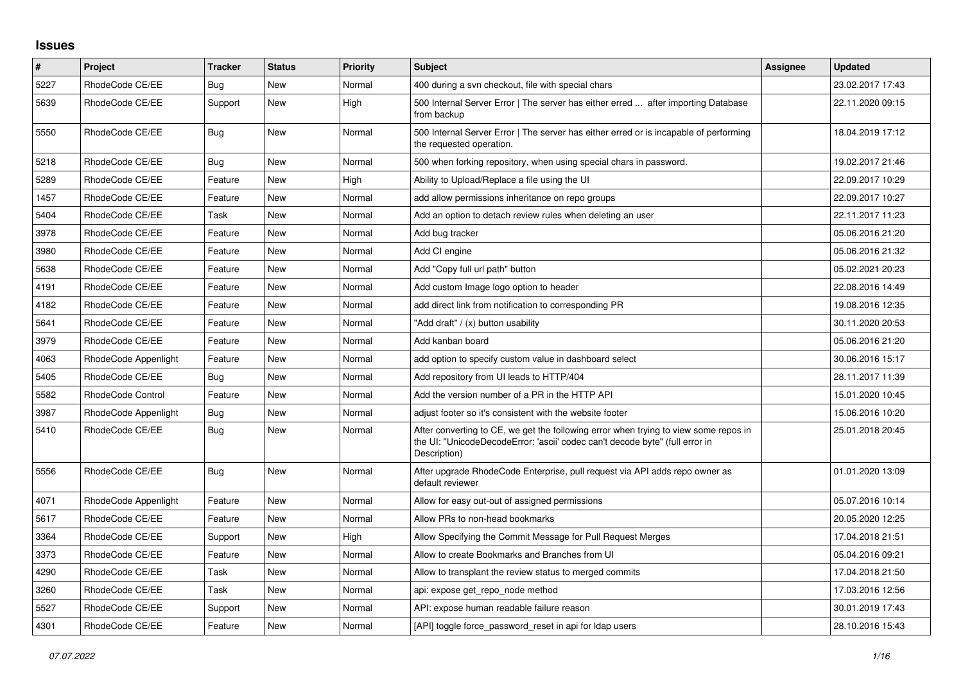## **Issues**

| $\pmb{\#}$ | <b>Project</b>           | <b>Tracker</b> | <b>Status</b> | <b>Priority</b> | <b>Subject</b>                                                                                                                                                                       | Assignee | <b>Updated</b>   |
|------------|--------------------------|----------------|---------------|-----------------|--------------------------------------------------------------------------------------------------------------------------------------------------------------------------------------|----------|------------------|
| 5227       | RhodeCode CE/EE          | Bug            | New           | Normal          | 400 during a svn checkout, file with special chars                                                                                                                                   |          | 23.02.2017 17:43 |
| 5639       | RhodeCode CE/EE          | Support        | <b>New</b>    | High            | 500 Internal Server Error   The server has either erred  after importing Database<br>from backup                                                                                     |          | 22.11.2020 09:15 |
| 5550       | RhodeCode CE/EE          | Bug            | <b>New</b>    | Normal          | 500 Internal Server Error   The server has either erred or is incapable of performing<br>the requested operation.                                                                    |          | 18.04.2019 17:12 |
| 5218       | RhodeCode CE/EE          | Bug            | <b>New</b>    | Normal          | 500 when forking repository, when using special chars in password.                                                                                                                   |          | 19.02.2017 21:46 |
| 5289       | RhodeCode CE/EE          | Feature        | <b>New</b>    | High            | Ability to Upload/Replace a file using the UI                                                                                                                                        |          | 22.09.2017 10:29 |
| 1457       | RhodeCode CE/EE          | Feature        | <b>New</b>    | Normal          | add allow permissions inheritance on repo groups                                                                                                                                     |          | 22.09.2017 10:27 |
| 5404       | RhodeCode CE/EE          | Task           | <b>New</b>    | Normal          | Add an option to detach review rules when deleting an user                                                                                                                           |          | 22.11.2017 11:23 |
| 3978       | RhodeCode CE/EE          | Feature        | <b>New</b>    | Normal          | Add bug tracker                                                                                                                                                                      |          | 05.06.2016 21:20 |
| 3980       | RhodeCode CE/EE          | Feature        | <b>New</b>    | Normal          | Add CI engine                                                                                                                                                                        |          | 05.06.2016 21:32 |
| 5638       | RhodeCode CE/EE          | Feature        | <b>New</b>    | Normal          | Add "Copy full url path" button                                                                                                                                                      |          | 05.02.2021 20:23 |
| 4191       | RhodeCode CE/EE          | Feature        | <b>New</b>    | Normal          | Add custom Image logo option to header                                                                                                                                               |          | 22.08.2016 14:49 |
| 4182       | RhodeCode CE/EE          | Feature        | <b>New</b>    | Normal          | add direct link from notification to corresponding PR                                                                                                                                |          | 19.08.2016 12:35 |
| 5641       | RhodeCode CE/EE          | Feature        | <b>New</b>    | Normal          | 'Add draft" / (x) button usability                                                                                                                                                   |          | 30.11.2020 20:53 |
| 3979       | RhodeCode CE/EE          | Feature        | <b>New</b>    | Normal          | Add kanban board                                                                                                                                                                     |          | 05.06.2016 21:20 |
| 4063       | RhodeCode Appenlight     | Feature        | New           | Normal          | add option to specify custom value in dashboard select                                                                                                                               |          | 30.06.2016 15:17 |
| 5405       | RhodeCode CE/EE          | Bug            | <b>New</b>    | Normal          | Add repository from UI leads to HTTP/404                                                                                                                                             |          | 28.11.2017 11:39 |
| 5582       | <b>RhodeCode Control</b> | Feature        | <b>New</b>    | Normal          | Add the version number of a PR in the HTTP API                                                                                                                                       |          | 15.01.2020 10:45 |
| 3987       | RhodeCode Appenlight     | Bug            | New           | Normal          | adjust footer so it's consistent with the website footer                                                                                                                             |          | 15.06.2016 10:20 |
| 5410       | RhodeCode CE/EE          | Bug            | <b>New</b>    | Normal          | After converting to CE, we get the following error when trying to view some repos in<br>the UI: "UnicodeDecodeError: 'ascii' codec can't decode byte" (full error in<br>Description) |          | 25.01.2018 20:45 |
| 5556       | RhodeCode CE/EE          | Bug            | <b>New</b>    | Normal          | After upgrade RhodeCode Enterprise, pull request via API adds repo owner as<br>default reviewer                                                                                      |          | 01.01.2020 13:09 |
| 4071       | RhodeCode Appenlight     | Feature        | <b>New</b>    | Normal          | Allow for easy out-out of assigned permissions                                                                                                                                       |          | 05.07.2016 10:14 |
| 5617       | RhodeCode CE/EE          | Feature        | <b>New</b>    | Normal          | Allow PRs to non-head bookmarks                                                                                                                                                      |          | 20.05.2020 12:25 |
| 3364       | RhodeCode CE/EE          | Support        | New           | High            | Allow Specifying the Commit Message for Pull Request Merges                                                                                                                          |          | 17.04.2018 21:51 |
| 3373       | RhodeCode CE/EE          | Feature        | <b>New</b>    | Normal          | Allow to create Bookmarks and Branches from UI                                                                                                                                       |          | 05.04.2016 09:21 |
| 4290       | RhodeCode CE/EE          | Task           | <b>New</b>    | Normal          | Allow to transplant the review status to merged commits                                                                                                                              |          | 17.04.2018 21:50 |
| 3260       | RhodeCode CE/EE          | Task           | New           | Normal          | api: expose get repo node method                                                                                                                                                     |          | 17.03.2016 12:56 |
| 5527       | RhodeCode CE/EE          | Support        | <b>New</b>    | Normal          | API: expose human readable failure reason                                                                                                                                            |          | 30.01.2019 17:43 |
| 4301       | RhodeCode CE/EE          | Feature        | <b>New</b>    | Normal          | [API] toggle force password reset in api for Idap users                                                                                                                              |          | 28.10.2016 15:43 |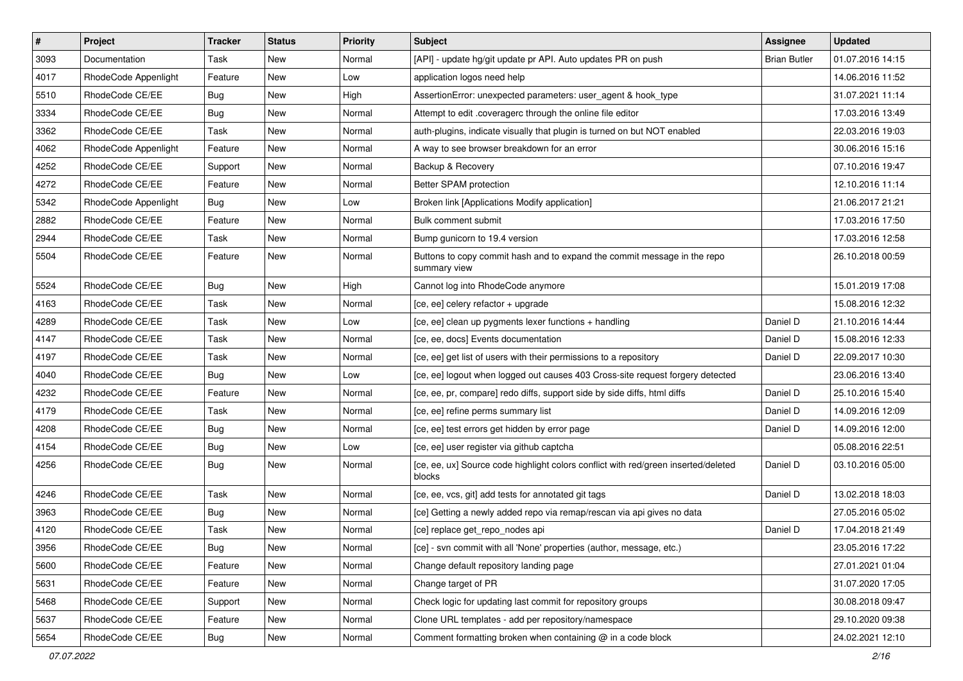| $\vert$ # | Project              | <b>Tracker</b> | <b>Status</b> | <b>Priority</b> | <b>Subject</b>                                                                               | Assignee            | <b>Updated</b>   |
|-----------|----------------------|----------------|---------------|-----------------|----------------------------------------------------------------------------------------------|---------------------|------------------|
| 3093      | Documentation        | Task           | New           | Normal          | [API] - update hg/git update pr API. Auto updates PR on push                                 | <b>Brian Butler</b> | 01.07.2016 14:15 |
| 4017      | RhodeCode Appenlight | Feature        | New           | Low             | application logos need help                                                                  |                     | 14.06.2016 11:52 |
| 5510      | RhodeCode CE/EE      | Bug            | New           | High            | AssertionError: unexpected parameters: user_agent & hook_type                                |                     | 31.07.2021 11:14 |
| 3334      | RhodeCode CE/EE      | <b>Bug</b>     | New           | Normal          | Attempt to edit .coveragerc through the online file editor                                   |                     | 17.03.2016 13:49 |
| 3362      | RhodeCode CE/EE      | Task           | New           | Normal          | auth-plugins, indicate visually that plugin is turned on but NOT enabled                     |                     | 22.03.2016 19:03 |
| 4062      | RhodeCode Appenlight | Feature        | New           | Normal          | A way to see browser breakdown for an error                                                  |                     | 30.06.2016 15:16 |
| 4252      | RhodeCode CE/EE      | Support        | New           | Normal          | Backup & Recovery                                                                            |                     | 07.10.2016 19:47 |
| 4272      | RhodeCode CE/EE      | Feature        | New           | Normal          | Better SPAM protection                                                                       |                     | 12.10.2016 11:14 |
| 5342      | RhodeCode Appenlight | <b>Bug</b>     | New           | Low             | Broken link [Applications Modify application]                                                |                     | 21.06.2017 21:21 |
| 2882      | RhodeCode CE/EE      | Feature        | New           | Normal          | Bulk comment submit                                                                          |                     | 17.03.2016 17:50 |
| 2944      | RhodeCode CE/EE      | Task           | New           | Normal          | Bump gunicorn to 19.4 version                                                                |                     | 17.03.2016 12:58 |
| 5504      | RhodeCode CE/EE      | Feature        | New           | Normal          | Buttons to copy commit hash and to expand the commit message in the repo<br>summary view     |                     | 26.10.2018 00:59 |
| 5524      | RhodeCode CE/EE      | <b>Bug</b>     | New           | High            | Cannot log into RhodeCode anymore                                                            |                     | 15.01.2019 17:08 |
| 4163      | RhodeCode CE/EE      | Task           | New           | Normal          | [ce, ee] celery refactor + upgrade                                                           |                     | 15.08.2016 12:32 |
| 4289      | RhodeCode CE/EE      | Task           | New           | Low             | [ce, ee] clean up pygments lexer functions + handling                                        | Daniel D            | 21.10.2016 14:44 |
| 4147      | RhodeCode CE/EE      | Task           | New           | Normal          | [ce, ee, docs] Events documentation                                                          | Daniel D            | 15.08.2016 12:33 |
| 4197      | RhodeCode CE/EE      | Task           | New           | Normal          | [ce, ee] get list of users with their permissions to a repository                            | Daniel D            | 22.09.2017 10:30 |
| 4040      | RhodeCode CE/EE      | <b>Bug</b>     | New           | Low             | [ce, ee] logout when logged out causes 403 Cross-site request forgery detected               |                     | 23.06.2016 13:40 |
| 4232      | RhodeCode CE/EE      | Feature        | New           | Normal          | [ce, ee, pr, compare] redo diffs, support side by side diffs, html diffs                     | Daniel D            | 25.10.2016 15:40 |
| 4179      | RhodeCode CE/EE      | Task           | New           | Normal          | [ce, ee] refine perms summary list                                                           | Daniel D            | 14.09.2016 12:09 |
| 4208      | RhodeCode CE/EE      | <b>Bug</b>     | New           | Normal          | [ce, ee] test errors get hidden by error page                                                | Daniel D            | 14.09.2016 12:00 |
| 4154      | RhodeCode CE/EE      | <b>Bug</b>     | New           | Low             | [ce, ee] user register via github captcha                                                    |                     | 05.08.2016 22:51 |
| 4256      | RhodeCode CE/EE      | Bug            | New           | Normal          | [ce, ee, ux] Source code highlight colors conflict with red/green inserted/deleted<br>blocks | Daniel D            | 03.10.2016 05:00 |
| 4246      | RhodeCode CE/EE      | Task           | New           | Normal          | [ce, ee, vcs, git] add tests for annotated git tags                                          | Daniel D            | 13.02.2018 18:03 |
| 3963      | RhodeCode CE/EE      | <b>Bug</b>     | New           | Normal          | [ce] Getting a newly added repo via remap/rescan via api gives no data                       |                     | 27.05.2016 05:02 |
| 4120      | RhodeCode CE/EE      | Task           | New           | Normal          | [ce] replace get_repo_nodes api                                                              | Daniel D            | 17.04.2018 21:49 |
| 3956      | RhodeCode CE/EE      | <b>Bug</b>     | New           | Normal          | [ce] - svn commit with all 'None' properties (author, message, etc.)                         |                     | 23.05.2016 17:22 |
| 5600      | RhodeCode CE/EE      | Feature        | New           | Normal          | Change default repository landing page                                                       |                     | 27.01.2021 01:04 |
| 5631      | RhodeCode CE/EE      | Feature        | New           | Normal          | Change target of PR                                                                          |                     | 31.07.2020 17:05 |
| 5468      | RhodeCode CE/EE      | Support        | New           | Normal          | Check logic for updating last commit for repository groups                                   |                     | 30.08.2018 09:47 |
| 5637      | RhodeCode CE/EE      | Feature        | New           | Normal          | Clone URL templates - add per repository/namespace                                           |                     | 29.10.2020 09:38 |
| 5654      | RhodeCode CE/EE      | <b>Bug</b>     | New           | Normal          | Comment formatting broken when containing @ in a code block                                  |                     | 24.02.2021 12:10 |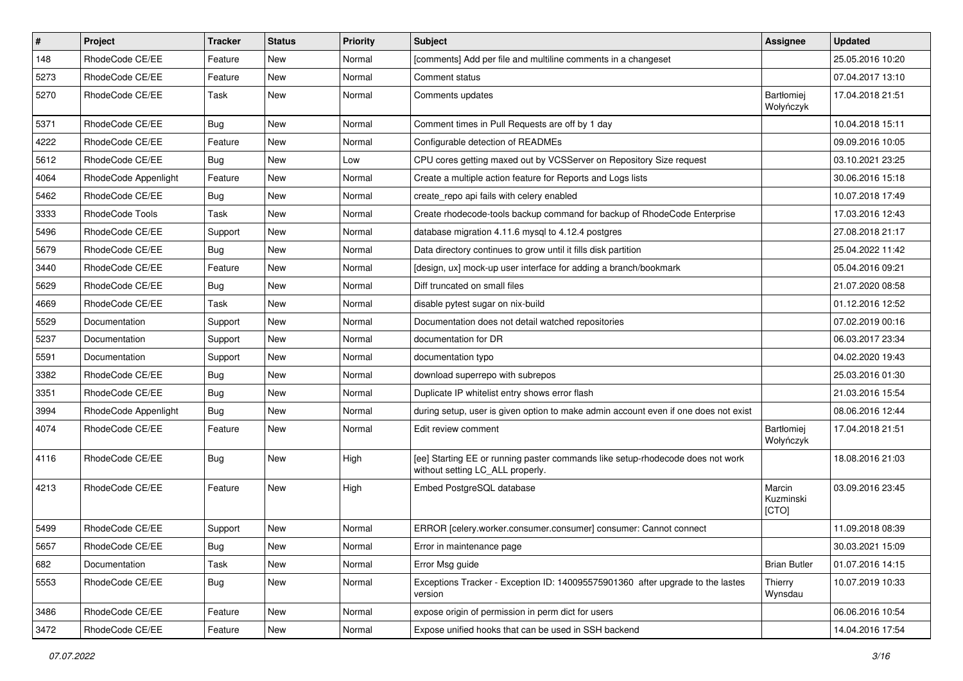| $\pmb{\#}$ | Project              | <b>Tracker</b> | <b>Status</b> | <b>Priority</b> | <b>Subject</b>                                                                                                     | <b>Assignee</b>              | <b>Updated</b>   |
|------------|----------------------|----------------|---------------|-----------------|--------------------------------------------------------------------------------------------------------------------|------------------------------|------------------|
| 148        | RhodeCode CE/EE      | Feature        | New           | Normal          | [comments] Add per file and multiline comments in a changeset                                                      |                              | 25.05.2016 10:20 |
| 5273       | RhodeCode CE/EE      | Feature        | <b>New</b>    | Normal          | Comment status                                                                                                     |                              | 07.04.2017 13:10 |
| 5270       | RhodeCode CE/EE      | Task           | New           | Normal          | Comments updates                                                                                                   | Bartłomiej<br>Wołyńczyk      | 17.04.2018 21:51 |
| 5371       | RhodeCode CE/EE      | Bug            | <b>New</b>    | Normal          | Comment times in Pull Requests are off by 1 day                                                                    |                              | 10.04.2018 15:11 |
| 4222       | RhodeCode CE/EE      | Feature        | New           | Normal          | Configurable detection of READMEs                                                                                  |                              | 09.09.2016 10:05 |
| 5612       | RhodeCode CE/EE      | Bug            | New           | Low             | CPU cores getting maxed out by VCSServer on Repository Size request                                                |                              | 03.10.2021 23:25 |
| 4064       | RhodeCode Appenlight | Feature        | New           | Normal          | Create a multiple action feature for Reports and Logs lists                                                        |                              | 30.06.2016 15:18 |
| 5462       | RhodeCode CE/EE      | Bug            | New           | Normal          | create_repo api fails with celery enabled                                                                          |                              | 10.07.2018 17:49 |
| 3333       | RhodeCode Tools      | Task           | <b>New</b>    | Normal          | Create rhodecode-tools backup command for backup of RhodeCode Enterprise                                           |                              | 17.03.2016 12:43 |
| 5496       | RhodeCode CE/EE      | Support        | New           | Normal          | database migration 4.11.6 mysql to 4.12.4 postgres                                                                 |                              | 27.08.2018 21:17 |
| 5679       | RhodeCode CE/EE      | <b>Bug</b>     | New           | Normal          | Data directory continues to grow until it fills disk partition                                                     |                              | 25.04.2022 11:42 |
| 3440       | RhodeCode CE/EE      | Feature        | New           | Normal          | [design, ux] mock-up user interface for adding a branch/bookmark                                                   |                              | 05.04.2016 09:21 |
| 5629       | RhodeCode CE/EE      | Bug            | New           | Normal          | Diff truncated on small files                                                                                      |                              | 21.07.2020 08:58 |
| 4669       | RhodeCode CE/EE      | Task           | New           | Normal          | disable pytest sugar on nix-build                                                                                  |                              | 01.12.2016 12:52 |
| 5529       | Documentation        | Support        | New           | Normal          | Documentation does not detail watched repositories                                                                 |                              | 07.02.2019 00:16 |
| 5237       | Documentation        | Support        | New           | Normal          | documentation for DR                                                                                               |                              | 06.03.2017 23:34 |
| 5591       | Documentation        | Support        | <b>New</b>    | Normal          | documentation typo                                                                                                 |                              | 04.02.2020 19:43 |
| 3382       | RhodeCode CE/EE      | <b>Bug</b>     | New           | Normal          | download superrepo with subrepos                                                                                   |                              | 25.03.2016 01:30 |
| 3351       | RhodeCode CE/EE      | <b>Bug</b>     | New           | Normal          | Duplicate IP whitelist entry shows error flash                                                                     |                              | 21.03.2016 15:54 |
| 3994       | RhodeCode Appenlight | Bug            | New           | Normal          | during setup, user is given option to make admin account even if one does not exist                                |                              | 08.06.2016 12:44 |
| 4074       | RhodeCode CE/EE      | Feature        | New           | Normal          | Edit review comment                                                                                                | Bartłomiej<br>Wołyńczyk      | 17.04.2018 21:51 |
| 4116       | RhodeCode CE/EE      | Bug            | New           | High            | [ee] Starting EE or running paster commands like setup-rhodecode does not work<br>without setting LC_ALL properly. |                              | 18.08.2016 21:03 |
| 4213       | RhodeCode CE/EE      | Feature        | <b>New</b>    | High            | Embed PostgreSQL database                                                                                          | Marcin<br>Kuzminski<br>[CTO] | 03.09.2016 23:45 |
| 5499       | RhodeCode CE/EE      | Support        | New           | Normal          | ERROR [celery.worker.consumer.consumer] consumer: Cannot connect                                                   |                              | 11.09.2018 08:39 |
| 5657       | RhodeCode CE/EE      | <b>Bug</b>     | New           | Normal          | Error in maintenance page                                                                                          |                              | 30.03.2021 15:09 |
| 682        | Documentation        | Task           | <b>New</b>    | Normal          | Error Msg guide                                                                                                    | <b>Brian Butler</b>          | 01.07.2016 14:15 |
| 5553       | RhodeCode CE/EE      | Bug            | New           | Normal          | Exceptions Tracker - Exception ID: 140095575901360 after upgrade to the lastes<br>version                          | Thierry<br>Wynsdau           | 10.07.2019 10:33 |
| 3486       | RhodeCode CE/EE      | Feature        | New           | Normal          | expose origin of permission in perm dict for users                                                                 |                              | 06.06.2016 10:54 |
| 3472       | RhodeCode CE/EE      | Feature        | New           | Normal          | Expose unified hooks that can be used in SSH backend                                                               |                              | 14.04.2016 17:54 |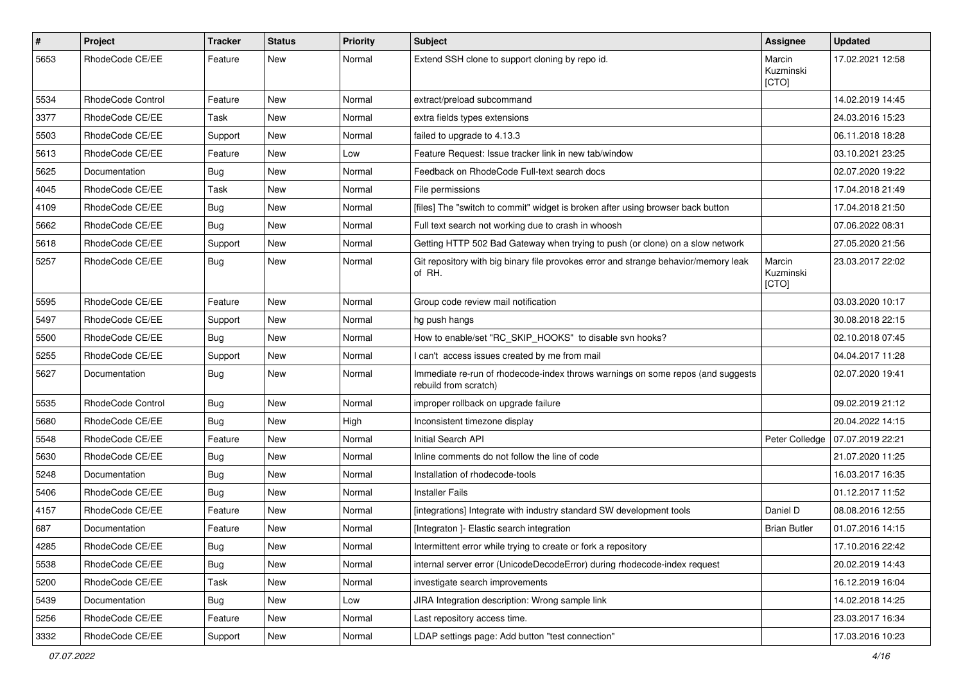| $\#$ | Project           | Tracker    | <b>Status</b> | <b>Priority</b> | <b>Subject</b>                                                                                           | Assignee                     | <b>Updated</b>   |
|------|-------------------|------------|---------------|-----------------|----------------------------------------------------------------------------------------------------------|------------------------------|------------------|
| 5653 | RhodeCode CE/EE   | Feature    | New           | Normal          | Extend SSH clone to support cloning by repo id.                                                          | Marcin<br>Kuzminski<br>[CTO] | 17.02.2021 12:58 |
| 5534 | RhodeCode Control | Feature    | New           | Normal          | extract/preload subcommand                                                                               |                              | 14.02.2019 14:45 |
| 3377 | RhodeCode CE/EE   | Task       | New           | Normal          | extra fields types extensions                                                                            |                              | 24.03.2016 15:23 |
| 5503 | RhodeCode CE/EE   | Support    | New           | Normal          | failed to upgrade to 4.13.3                                                                              |                              | 06.11.2018 18:28 |
| 5613 | RhodeCode CE/EE   | Feature    | New           | Low             | Feature Request: Issue tracker link in new tab/window                                                    |                              | 03.10.2021 23:25 |
| 5625 | Documentation     | Bug        | New           | Normal          | Feedback on RhodeCode Full-text search docs                                                              |                              | 02.07.2020 19:22 |
| 4045 | RhodeCode CE/EE   | Task       | New           | Normal          | File permissions                                                                                         |                              | 17.04.2018 21:49 |
| 4109 | RhodeCode CE/EE   | Bug        | New           | Normal          | [files] The "switch to commit" widget is broken after using browser back button                          |                              | 17.04.2018 21:50 |
| 5662 | RhodeCode CE/EE   | <b>Bug</b> | New           | Normal          | Full text search not working due to crash in whoosh                                                      |                              | 07.06.2022 08:31 |
| 5618 | RhodeCode CE/EE   | Support    | New           | Normal          | Getting HTTP 502 Bad Gateway when trying to push (or clone) on a slow network                            |                              | 27.05.2020 21:56 |
| 5257 | RhodeCode CE/EE   | Bug        | New           | Normal          | Git repository with big binary file provokes error and strange behavior/memory leak<br>of RH.            | Marcin<br>Kuzminski<br>[CTO] | 23.03.2017 22:02 |
| 5595 | RhodeCode CE/EE   | Feature    | New           | Normal          | Group code review mail notification                                                                      |                              | 03.03.2020 10:17 |
| 5497 | RhodeCode CE/EE   | Support    | New           | Normal          | hg push hangs                                                                                            |                              | 30.08.2018 22:15 |
| 5500 | RhodeCode CE/EE   | <b>Bug</b> | <b>New</b>    | Normal          | How to enable/set "RC_SKIP_HOOKS" to disable svn hooks?                                                  |                              | 02.10.2018 07:45 |
| 5255 | RhodeCode CE/EE   | Support    | New           | Normal          | I can't access issues created by me from mail                                                            |                              | 04.04.2017 11:28 |
| 5627 | Documentation     | Bug        | New           | Normal          | Immediate re-run of rhodecode-index throws warnings on some repos (and suggests<br>rebuild from scratch) |                              | 02.07.2020 19:41 |
| 5535 | RhodeCode Control | Bug        | New           | Normal          | improper rollback on upgrade failure                                                                     |                              | 09.02.2019 21:12 |
| 5680 | RhodeCode CE/EE   | <b>Bug</b> | New           | High            | Inconsistent timezone display                                                                            |                              | 20.04.2022 14:15 |
| 5548 | RhodeCode CE/EE   | Feature    | New           | Normal          | Initial Search API                                                                                       | Peter Colledge               | 07.07.2019 22:21 |
| 5630 | RhodeCode CE/EE   | Bug        | New           | Normal          | Inline comments do not follow the line of code                                                           |                              | 21.07.2020 11:25 |
| 5248 | Documentation     | Bug        | New           | Normal          | Installation of rhodecode-tools                                                                          |                              | 16.03.2017 16:35 |
| 5406 | RhodeCode CE/EE   | <b>Bug</b> | New           | Normal          | <b>Installer Fails</b>                                                                                   |                              | 01.12.2017 11:52 |
| 4157 | RhodeCode CE/EE   | Feature    | New           | Normal          | [integrations] Integrate with industry standard SW development tools                                     | Daniel D                     | 08.08.2016 12:55 |
| 687  | Documentation     | Feature    | New           | Normal          | [Integraton] - Elastic search integration                                                                | <b>Brian Butler</b>          | 01.07.2016 14:15 |
| 4285 | RhodeCode CE/EE   | <b>Bug</b> | New           | Normal          | Intermittent error while trying to create or fork a repository                                           |                              | 17.10.2016 22:42 |
| 5538 | RhodeCode CE/EE   | Bug        | New           | Normal          | internal server error (UnicodeDecodeError) during rhodecode-index request                                |                              | 20.02.2019 14:43 |
| 5200 | RhodeCode CE/EE   | Task       | New           | Normal          | investigate search improvements                                                                          |                              | 16.12.2019 16:04 |
| 5439 | Documentation     | Bug        | New           | Low             | JIRA Integration description: Wrong sample link                                                          |                              | 14.02.2018 14:25 |
| 5256 | RhodeCode CE/EE   | Feature    | New           | Normal          | Last repository access time.                                                                             |                              | 23.03.2017 16:34 |
| 3332 | RhodeCode CE/EE   | Support    | New           | Normal          | LDAP settings page: Add button "test connection"                                                         |                              | 17.03.2016 10:23 |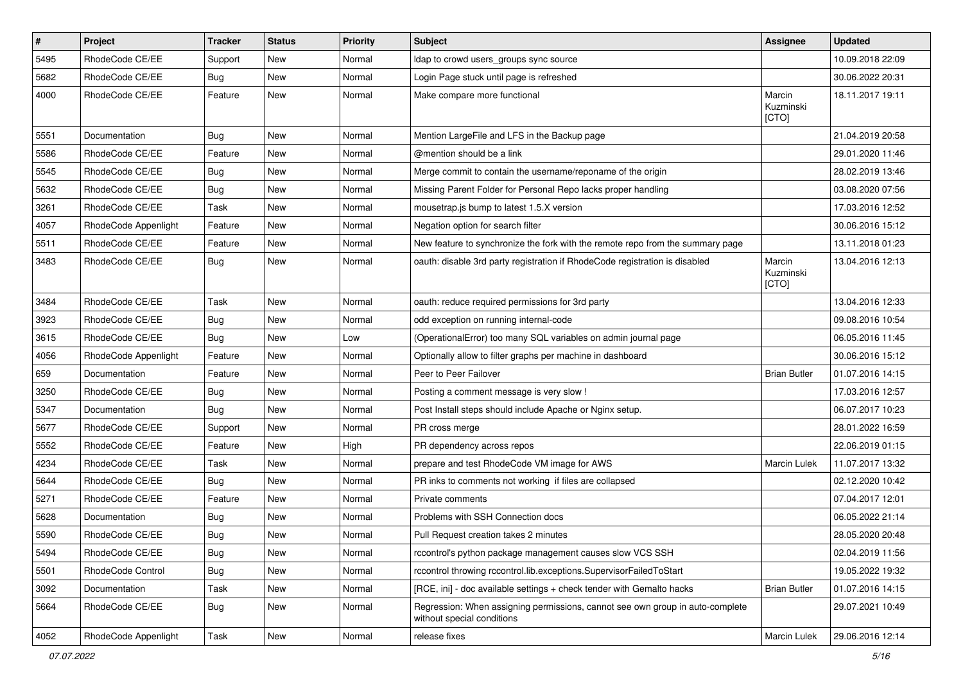| $\pmb{\#}$ | Project              | <b>Tracker</b> | <b>Status</b> | <b>Priority</b> | <b>Subject</b>                                                                                              | Assignee                     | <b>Updated</b>   |
|------------|----------------------|----------------|---------------|-----------------|-------------------------------------------------------------------------------------------------------------|------------------------------|------------------|
| 5495       | RhodeCode CE/EE      | Support        | New           | Normal          | Idap to crowd users_groups sync source                                                                      |                              | 10.09.2018 22:09 |
| 5682       | RhodeCode CE/EE      | Bug            | <b>New</b>    | Normal          | Login Page stuck until page is refreshed                                                                    |                              | 30.06.2022 20:31 |
| 4000       | RhodeCode CE/EE      | Feature        | <b>New</b>    | Normal          | Make compare more functional                                                                                | Marcin<br>Kuzminski<br>[CTO] | 18.11.2017 19:11 |
| 5551       | Documentation        | <b>Bug</b>     | <b>New</b>    | Normal          | Mention LargeFile and LFS in the Backup page                                                                |                              | 21.04.2019 20:58 |
| 5586       | RhodeCode CE/EE      | Feature        | New           | Normal          | @mention should be a link                                                                                   |                              | 29.01.2020 11:46 |
| 5545       | RhodeCode CE/EE      | Bug            | New           | Normal          | Merge commit to contain the username/reponame of the origin                                                 |                              | 28.02.2019 13:46 |
| 5632       | RhodeCode CE/EE      | <b>Bug</b>     | <b>New</b>    | Normal          | Missing Parent Folder for Personal Repo lacks proper handling                                               |                              | 03.08.2020 07:56 |
| 3261       | RhodeCode CE/EE      | Task           | <b>New</b>    | Normal          | mousetrap.js bump to latest 1.5.X version                                                                   |                              | 17.03.2016 12:52 |
| 4057       | RhodeCode Appenlight | Feature        | New           | Normal          | Negation option for search filter                                                                           |                              | 30.06.2016 15:12 |
| 5511       | RhodeCode CE/EE      | Feature        | New           | Normal          | New feature to synchronize the fork with the remote repo from the summary page                              |                              | 13.11.2018 01:23 |
| 3483       | RhodeCode CE/EE      | Bug            | <b>New</b>    | Normal          | oauth: disable 3rd party registration if RhodeCode registration is disabled                                 | Marcin<br>Kuzminski<br>[CTO] | 13.04.2016 12:13 |
| 3484       | RhodeCode CE/EE      | Task           | <b>New</b>    | Normal          | oauth: reduce required permissions for 3rd party                                                            |                              | 13.04.2016 12:33 |
| 3923       | RhodeCode CE/EE      | Bug            | <b>New</b>    | Normal          | odd exception on running internal-code                                                                      |                              | 09.08.2016 10:54 |
| 3615       | RhodeCode CE/EE      | Bug            | <b>New</b>    | Low             | (OperationalError) too many SQL variables on admin journal page                                             |                              | 06.05.2016 11:45 |
| 4056       | RhodeCode Appenlight | Feature        | New           | Normal          | Optionally allow to filter graphs per machine in dashboard                                                  |                              | 30.06.2016 15:12 |
| 659        | Documentation        | Feature        | New           | Normal          | Peer to Peer Failover                                                                                       | <b>Brian Butler</b>          | 01.07.2016 14:15 |
| 3250       | RhodeCode CE/EE      | Bug            | <b>New</b>    | Normal          | Posting a comment message is very slow !                                                                    |                              | 17.03.2016 12:57 |
| 5347       | Documentation        | Bug            | New           | Normal          | Post Install steps should include Apache or Nginx setup.                                                    |                              | 06.07.2017 10:23 |
| 5677       | RhodeCode CE/EE      | Support        | <b>New</b>    | Normal          | PR cross merge                                                                                              |                              | 28.01.2022 16:59 |
| 5552       | RhodeCode CE/EE      | Feature        | New           | High            | PR dependency across repos                                                                                  |                              | 22.06.2019 01:15 |
| 4234       | RhodeCode CE/EE      | Task           | New           | Normal          | prepare and test RhodeCode VM image for AWS                                                                 | Marcin Lulek                 | 11.07.2017 13:32 |
| 5644       | RhodeCode CE/EE      | Bug            | <b>New</b>    | Normal          | PR inks to comments not working if files are collapsed                                                      |                              | 02.12.2020 10:42 |
| 5271       | RhodeCode CE/EE      | Feature        | New           | Normal          | Private comments                                                                                            |                              | 07.04.2017 12:01 |
| 5628       | Documentation        | Bug            | New           | Normal          | Problems with SSH Connection docs                                                                           |                              | 06.05.2022 21:14 |
| 5590       | RhodeCode CE/EE      | <b>Bug</b>     | New           | Normal          | Pull Request creation takes 2 minutes                                                                       |                              | 28.05.2020 20:48 |
| 5494       | RhodeCode CE/EE      | Bug            | New           | Normal          | rccontrol's python package management causes slow VCS SSH                                                   |                              | 02.04.2019 11:56 |
| 5501       | RhodeCode Control    | Bug            | New           | Normal          | rccontrol throwing rccontrol.lib.exceptions.SupervisorFailedToStart                                         |                              | 19.05.2022 19:32 |
| 3092       | Documentation        | Task           | New           | Normal          | [RCE, ini] - doc available settings + check tender with Gemalto hacks                                       | <b>Brian Butler</b>          | 01.07.2016 14:15 |
| 5664       | RhodeCode CE/EE      | Bug            | New           | Normal          | Regression: When assigning permissions, cannot see own group in auto-complete<br>without special conditions |                              | 29.07.2021 10:49 |
| 4052       | RhodeCode Appenlight | Task           | New           | Normal          | release fixes                                                                                               | Marcin Lulek                 | 29.06.2016 12:14 |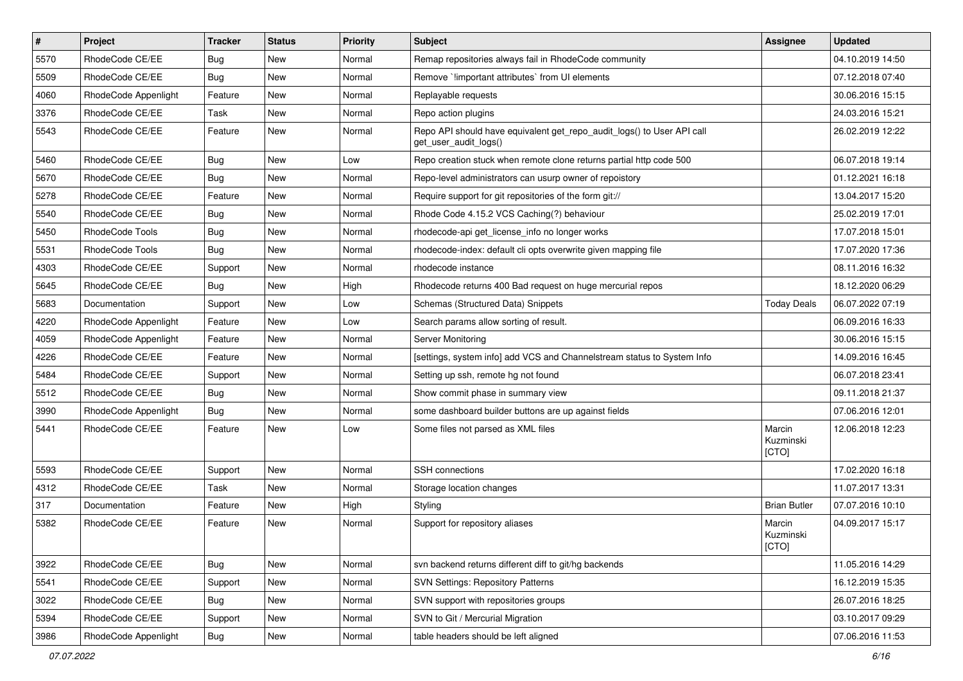| $\vert$ # | Project              | <b>Tracker</b> | <b>Status</b> | <b>Priority</b> | <b>Subject</b>                                                                                  | <b>Assignee</b>              | <b>Updated</b>   |
|-----------|----------------------|----------------|---------------|-----------------|-------------------------------------------------------------------------------------------------|------------------------------|------------------|
| 5570      | RhodeCode CE/EE      | Bug            | New           | Normal          | Remap repositories always fail in RhodeCode community                                           |                              | 04.10.2019 14:50 |
| 5509      | RhodeCode CE/EE      | Bug            | <b>New</b>    | Normal          | Remove `!important attributes` from UI elements                                                 |                              | 07.12.2018 07:40 |
| 4060      | RhodeCode Appenlight | Feature        | New           | Normal          | Replayable requests                                                                             |                              | 30.06.2016 15:15 |
| 3376      | RhodeCode CE/EE      | Task           | New           | Normal          | Repo action plugins                                                                             |                              | 24.03.2016 15:21 |
| 5543      | RhodeCode CE/EE      | Feature        | <b>New</b>    | Normal          | Repo API should have equivalent get_repo_audit_logs() to User API call<br>get_user_audit_logs() |                              | 26.02.2019 12:22 |
| 5460      | RhodeCode CE/EE      | Bug            | <b>New</b>    | Low             | Repo creation stuck when remote clone returns partial http code 500                             |                              | 06.07.2018 19:14 |
| 5670      | RhodeCode CE/EE      | Bug            | <b>New</b>    | Normal          | Repo-level administrators can usurp owner of repoistory                                         |                              | 01.12.2021 16:18 |
| 5278      | RhodeCode CE/EE      | Feature        | New           | Normal          | Require support for git repositories of the form git://                                         |                              | 13.04.2017 15:20 |
| 5540      | RhodeCode CE/EE      | Bug            | <b>New</b>    | Normal          | Rhode Code 4.15.2 VCS Caching(?) behaviour                                                      |                              | 25.02.2019 17:01 |
| 5450      | RhodeCode Tools      | Bug            | New           | Normal          | rhodecode-api get_license_info no longer works                                                  |                              | 17.07.2018 15:01 |
| 5531      | RhodeCode Tools      | Bug            | New           | Normal          | rhodecode-index: default cli opts overwrite given mapping file                                  |                              | 17.07.2020 17:36 |
| 4303      | RhodeCode CE/EE      | Support        | <b>New</b>    | Normal          | rhodecode instance                                                                              |                              | 08.11.2016 16:32 |
| 5645      | RhodeCode CE/EE      | Bug            | New           | High            | Rhodecode returns 400 Bad request on huge mercurial repos                                       |                              | 18.12.2020 06:29 |
| 5683      | Documentation        | Support        | New           | Low             | Schemas (Structured Data) Snippets                                                              | <b>Today Deals</b>           | 06.07.2022 07:19 |
| 4220      | RhodeCode Appenlight | Feature        | New           | Low             | Search params allow sorting of result.                                                          |                              | 06.09.2016 16:33 |
| 4059      | RhodeCode Appenlight | Feature        | <b>New</b>    | Normal          | Server Monitoring                                                                               |                              | 30.06.2016 15:15 |
| 4226      | RhodeCode CE/EE      | Feature        | <b>New</b>    | Normal          | [settings, system info] add VCS and Channelstream status to System Info                         |                              | 14.09.2016 16:45 |
| 5484      | RhodeCode CE/EE      | Support        | New           | Normal          | Setting up ssh, remote hg not found                                                             |                              | 06.07.2018 23:41 |
| 5512      | RhodeCode CE/EE      | Bug            | New           | Normal          | Show commit phase in summary view                                                               |                              | 09.11.2018 21:37 |
| 3990      | RhodeCode Appenlight | Bug            | <b>New</b>    | Normal          | some dashboard builder buttons are up against fields                                            |                              | 07.06.2016 12:01 |
| 5441      | RhodeCode CE/EE      | Feature        | New           | Low             | Some files not parsed as XML files                                                              | Marcin<br>Kuzminski<br>[CTO] | 12.06.2018 12:23 |
| 5593      | RhodeCode CE/EE      | Support        | <b>New</b>    | Normal          | SSH connections                                                                                 |                              | 17.02.2020 16:18 |
| 4312      | RhodeCode CE/EE      | Task           | <b>New</b>    | Normal          | Storage location changes                                                                        |                              | 11.07.2017 13:31 |
| 317       | Documentation        | Feature        | New           | High            | Styling                                                                                         | <b>Brian Butler</b>          | 07.07.2016 10:10 |
| 5382      | RhodeCode CE/EE      | Feature        | New           | Normal          | Support for repository aliases                                                                  | Marcin<br>Kuzminski<br>[CTO] | 04.09.2017 15:17 |
| 3922      | RhodeCode CE/EE      | Bug            | <b>New</b>    | Normal          | svn backend returns different diff to git/hg backends                                           |                              | 11.05.2016 14:29 |
| 5541      | RhodeCode CE/EE      | Support        | New           | Normal          | <b>SVN Settings: Repository Patterns</b>                                                        |                              | 16.12.2019 15:35 |
| 3022      | RhodeCode CE/EE      | Bug            | New           | Normal          | SVN support with repositories groups                                                            |                              | 26.07.2016 18:25 |
| 5394      | RhodeCode CE/EE      | Support        | New           | Normal          | SVN to Git / Mercurial Migration                                                                |                              | 03.10.2017 09:29 |
| 3986      | RhodeCode Appenlight | <b>Bug</b>     | New           | Normal          | table headers should be left aligned                                                            |                              | 07.06.2016 11:53 |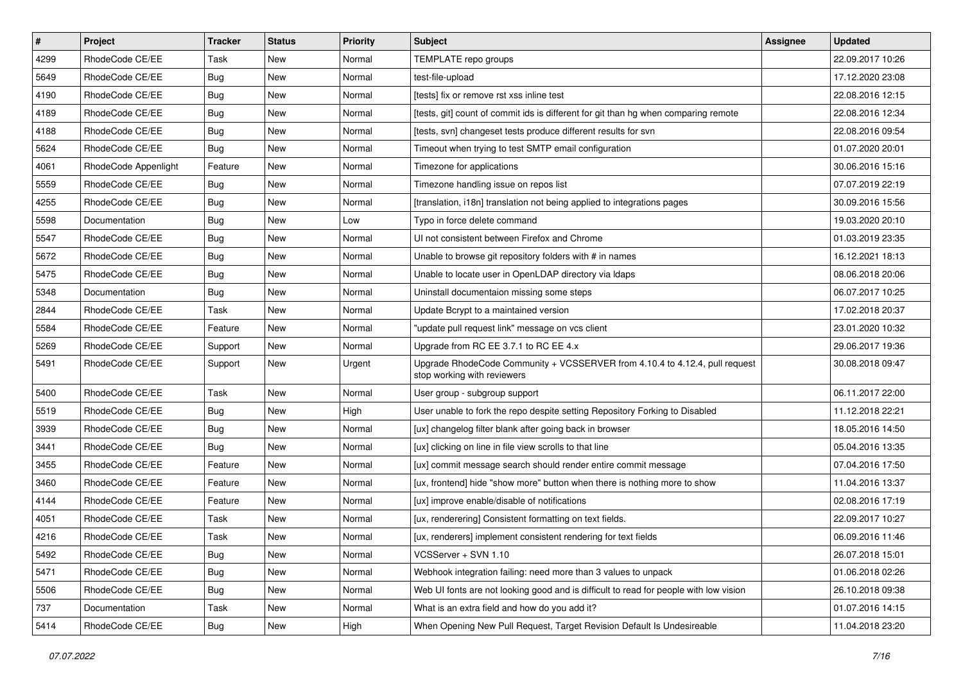| $\vert$ # | Project              | <b>Tracker</b> | <b>Status</b> | Priority | <b>Subject</b>                                                                                             | <b>Assignee</b> | <b>Updated</b>   |
|-----------|----------------------|----------------|---------------|----------|------------------------------------------------------------------------------------------------------------|-----------------|------------------|
| 4299      | RhodeCode CE/EE      | Task           | New           | Normal   | TEMPLATE repo groups                                                                                       |                 | 22.09.2017 10:26 |
| 5649      | RhodeCode CE/EE      | Bug            | <b>New</b>    | Normal   | test-file-upload                                                                                           |                 | 17.12.2020 23:08 |
| 4190      | RhodeCode CE/EE      | Bug            | New           | Normal   | [tests] fix or remove rst xss inline test                                                                  |                 | 22.08.2016 12:15 |
| 4189      | RhodeCode CE/EE      | Bug            | <b>New</b>    | Normal   | [tests, git] count of commit ids is different for git than hg when comparing remote                        |                 | 22.08.2016 12:34 |
| 4188      | RhodeCode CE/EE      | <b>Bug</b>     | <b>New</b>    | Normal   | [tests, svn] changeset tests produce different results for svn                                             |                 | 22.08.2016 09:54 |
| 5624      | RhodeCode CE/EE      | Bug            | New           | Normal   | Timeout when trying to test SMTP email configuration                                                       |                 | 01.07.2020 20:01 |
| 4061      | RhodeCode Appenlight | Feature        | <b>New</b>    | Normal   | Timezone for applications                                                                                  |                 | 30.06.2016 15:16 |
| 5559      | RhodeCode CE/EE      | Bug            | New           | Normal   | Timezone handling issue on repos list                                                                      |                 | 07.07.2019 22:19 |
| 4255      | RhodeCode CE/EE      | Bug            | <b>New</b>    | Normal   | [translation, i18n] translation not being applied to integrations pages                                    |                 | 30.09.2016 15:56 |
| 5598      | Documentation        | <b>Bug</b>     | <b>New</b>    | Low      | Typo in force delete command                                                                               |                 | 19.03.2020 20:10 |
| 5547      | RhodeCode CE/EE      | Bug            | New           | Normal   | UI not consistent between Firefox and Chrome                                                               |                 | 01.03.2019 23:35 |
| 5672      | RhodeCode CE/EE      | <b>Bug</b>     | New           | Normal   | Unable to browse git repository folders with # in names                                                    |                 | 16.12.2021 18:13 |
| 5475      | RhodeCode CE/EE      | <b>Bug</b>     | <b>New</b>    | Normal   | Unable to locate user in OpenLDAP directory via Idaps                                                      |                 | 08.06.2018 20:06 |
| 5348      | Documentation        | Bug            | New           | Normal   | Uninstall documentaion missing some steps                                                                  |                 | 06.07.2017 10:25 |
| 2844      | RhodeCode CE/EE      | Task           | <b>New</b>    | Normal   | Update Bcrypt to a maintained version                                                                      |                 | 17.02.2018 20:37 |
| 5584      | RhodeCode CE/EE      | Feature        | New           | Normal   | "update pull request link" message on vcs client                                                           |                 | 23.01.2020 10:32 |
| 5269      | RhodeCode CE/EE      | Support        | <b>New</b>    | Normal   | Upgrade from RC EE 3.7.1 to RC EE 4.x                                                                      |                 | 29.06.2017 19:36 |
| 5491      | RhodeCode CE/EE      | Support        | <b>New</b>    | Urgent   | Upgrade RhodeCode Community + VCSSERVER from 4.10.4 to 4.12.4, pull request<br>stop working with reviewers |                 | 30.08.2018 09:47 |
| 5400      | RhodeCode CE/EE      | Task           | <b>New</b>    | Normal   | User group - subgroup support                                                                              |                 | 06.11.2017 22:00 |
| 5519      | RhodeCode CE/EE      | Bug            | <b>New</b>    | High     | User unable to fork the repo despite setting Repository Forking to Disabled                                |                 | 11.12.2018 22:21 |
| 3939      | RhodeCode CE/EE      | <b>Bug</b>     | <b>New</b>    | Normal   | [ux] changelog filter blank after going back in browser                                                    |                 | 18.05.2016 14:50 |
| 3441      | RhodeCode CE/EE      | Bug            | <b>New</b>    | Normal   | [ux] clicking on line in file view scrolls to that line                                                    |                 | 05.04.2016 13:35 |
| 3455      | RhodeCode CE/EE      | Feature        | New           | Normal   | [ux] commit message search should render entire commit message                                             |                 | 07.04.2016 17:50 |
| 3460      | RhodeCode CE/EE      | Feature        | New           | Normal   | [ux, frontend] hide "show more" button when there is nothing more to show                                  |                 | 11.04.2016 13:37 |
| 4144      | RhodeCode CE/EE      | Feature        | <b>New</b>    | Normal   | [ux] improve enable/disable of notifications                                                               |                 | 02.08.2016 17:19 |
| 4051      | RhodeCode CE/EE      | Task           | New           | Normal   | [ux, renderering] Consistent formatting on text fields.                                                    |                 | 22.09.2017 10:27 |
| 4216      | RhodeCode CE/EE      | Task           | New           | Normal   | [ux, renderers] implement consistent rendering for text fields                                             |                 | 06.09.2016 11:46 |
| 5492      | RhodeCode CE/EE      | Bug            | New           | Normal   | VCSServer + SVN 1.10                                                                                       |                 | 26.07.2018 15:01 |
| 5471      | RhodeCode CE/EE      | Bug            | New           | Normal   | Webhook integration failing: need more than 3 values to unpack                                             |                 | 01.06.2018 02:26 |
| 5506      | RhodeCode CE/EE      | <b>Bug</b>     | New           | Normal   | Web UI fonts are not looking good and is difficult to read for people with low vision                      |                 | 26.10.2018 09:38 |
| 737       | Documentation        | Task           | New           | Normal   | What is an extra field and how do you add it?                                                              |                 | 01.07.2016 14:15 |
| 5414      | RhodeCode CE/EE      | <b>Bug</b>     | New           | High     | When Opening New Pull Request, Target Revision Default Is Undesireable                                     |                 | 11.04.2018 23:20 |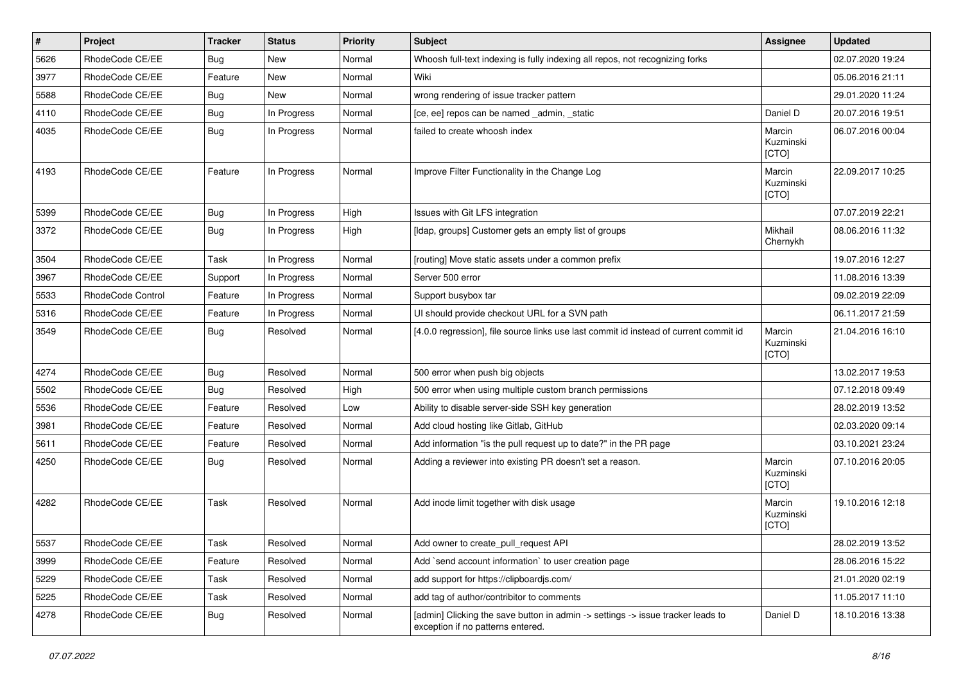| #    | Project           | <b>Tracker</b> | <b>Status</b> | <b>Priority</b> | <b>Subject</b>                                                                                                       | Assignee                     | <b>Updated</b>   |
|------|-------------------|----------------|---------------|-----------------|----------------------------------------------------------------------------------------------------------------------|------------------------------|------------------|
| 5626 | RhodeCode CE/EE   | Bug            | New           | Normal          | Whoosh full-text indexing is fully indexing all repos, not recognizing forks                                         |                              | 02.07.2020 19:24 |
| 3977 | RhodeCode CE/EE   | Feature        | New           | Normal          | Wiki                                                                                                                 |                              | 05.06.2016 21:11 |
| 5588 | RhodeCode CE/EE   | Bug            | New           | Normal          | wrong rendering of issue tracker pattern                                                                             |                              | 29.01.2020 11:24 |
| 4110 | RhodeCode CE/EE   | Bug            | In Progress   | Normal          | [ce, ee] repos can be named _admin, _static                                                                          | Daniel D                     | 20.07.2016 19:51 |
| 4035 | RhodeCode CE/EE   | Bug            | In Progress   | Normal          | failed to create whoosh index                                                                                        | Marcin<br>Kuzminski<br>[CTO] | 06.07.2016 00:04 |
| 4193 | RhodeCode CE/EE   | Feature        | In Progress   | Normal          | Improve Filter Functionality in the Change Log                                                                       | Marcin<br>Kuzminski<br>[CTO] | 22.09.2017 10:25 |
| 5399 | RhodeCode CE/EE   | Bug            | In Progress   | High            | Issues with Git LFS integration                                                                                      |                              | 07.07.2019 22:21 |
| 3372 | RhodeCode CE/EE   | Bug            | In Progress   | High            | [Idap, groups] Customer gets an empty list of groups                                                                 | Mikhail<br>Chernykh          | 08.06.2016 11:32 |
| 3504 | RhodeCode CE/EE   | Task           | In Progress   | Normal          | [routing] Move static assets under a common prefix                                                                   |                              | 19.07.2016 12:27 |
| 3967 | RhodeCode CE/EE   | Support        | In Progress   | Normal          | Server 500 error                                                                                                     |                              | 11.08.2016 13:39 |
| 5533 | RhodeCode Control | Feature        | In Progress   | Normal          | Support busybox tar                                                                                                  |                              | 09.02.2019 22:09 |
| 5316 | RhodeCode CE/EE   | Feature        | In Progress   | Normal          | UI should provide checkout URL for a SVN path                                                                        |                              | 06.11.2017 21:59 |
| 3549 | RhodeCode CE/EE   | Bug            | Resolved      | Normal          | [4.0.0 regression], file source links use last commit id instead of current commit id                                | Marcin<br>Kuzminski<br>[CTO] | 21.04.2016 16:10 |
| 4274 | RhodeCode CE/EE   | Bug            | Resolved      | Normal          | 500 error when push big objects                                                                                      |                              | 13.02.2017 19:53 |
| 5502 | RhodeCode CE/EE   | Bug            | Resolved      | High            | 500 error when using multiple custom branch permissions                                                              |                              | 07.12.2018 09:49 |
| 5536 | RhodeCode CE/EE   | Feature        | Resolved      | Low             | Ability to disable server-side SSH key generation                                                                    |                              | 28.02.2019 13:52 |
| 3981 | RhodeCode CE/EE   | Feature        | Resolved      | Normal          | Add cloud hosting like Gitlab, GitHub                                                                                |                              | 02.03.2020 09:14 |
| 5611 | RhodeCode CE/EE   | Feature        | Resolved      | Normal          | Add information "is the pull request up to date?" in the PR page                                                     |                              | 03.10.2021 23:24 |
| 4250 | RhodeCode CE/EE   | Bug            | Resolved      | Normal          | Adding a reviewer into existing PR doesn't set a reason.                                                             | Marcin<br>Kuzminski<br>[CTO] | 07.10.2016 20:05 |
| 4282 | RhodeCode CE/EE   | Task           | Resolved      | Normal          | Add inode limit together with disk usage                                                                             | Marcin<br>Kuzminski<br>[CTO] | 19.10.2016 12:18 |
| 5537 | RhodeCode CE/EE   | Task           | Resolved      | Normal          | Add owner to create_pull_request API                                                                                 |                              | 28.02.2019 13:52 |
| 3999 | RhodeCode CE/EE   | Feature        | Resolved      | Normal          | Add `send account information` to user creation page                                                                 |                              | 28.06.2016 15:22 |
| 5229 | RhodeCode CE/EE   | Task           | Resolved      | Normal          | add support for https://clipboardjs.com/                                                                             |                              | 21.01.2020 02:19 |
| 5225 | RhodeCode CE/EE   | Task           | Resolved      | Normal          | add tag of author/contribitor to comments                                                                            |                              | 11.05.2017 11:10 |
| 4278 | RhodeCode CE/EE   | <b>Bug</b>     | Resolved      | Normal          | [admin] Clicking the save button in admin -> settings -> issue tracker leads to<br>exception if no patterns entered. | Daniel D                     | 18.10.2016 13:38 |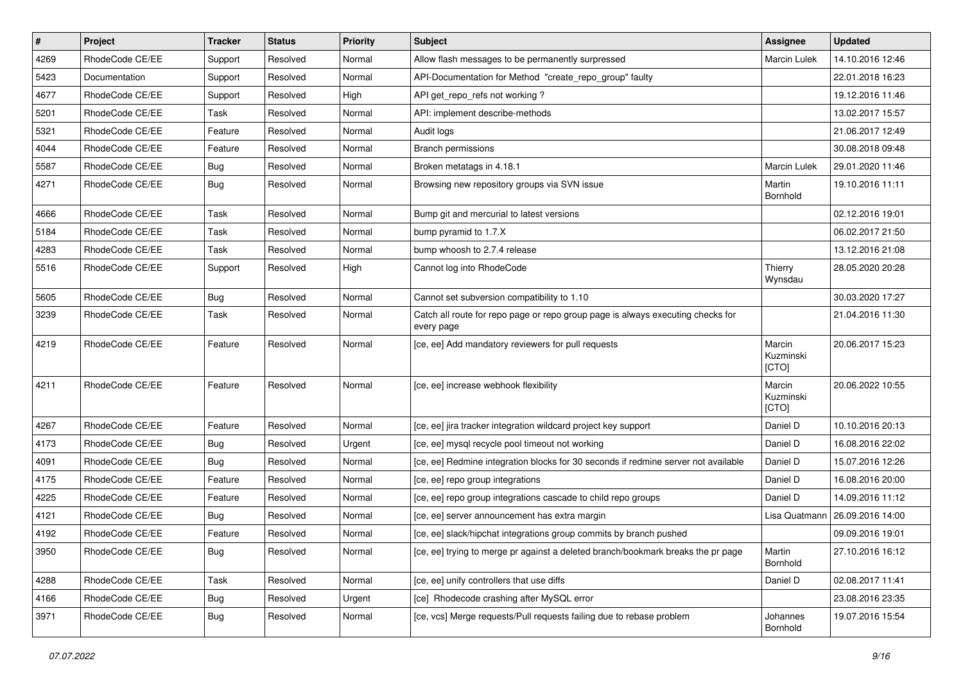| $\pmb{\#}$ | Project         | <b>Tracker</b> | <b>Status</b> | <b>Priority</b> | Subject                                                                                       | <b>Assignee</b>              | <b>Updated</b>   |
|------------|-----------------|----------------|---------------|-----------------|-----------------------------------------------------------------------------------------------|------------------------------|------------------|
| 4269       | RhodeCode CE/EE | Support        | Resolved      | Normal          | Allow flash messages to be permanently surpressed                                             | Marcin Lulek                 | 14.10.2016 12:46 |
| 5423       | Documentation   | Support        | Resolved      | Normal          | API-Documentation for Method "create repo group" faulty                                       |                              | 22.01.2018 16:23 |
| 4677       | RhodeCode CE/EE | Support        | Resolved      | High            | API get_repo_refs not working?                                                                |                              | 19.12.2016 11:46 |
| 5201       | RhodeCode CE/EE | Task           | Resolved      | Normal          | API: implement describe-methods                                                               |                              | 13.02.2017 15:57 |
| 5321       | RhodeCode CE/EE | Feature        | Resolved      | Normal          | Audit logs                                                                                    |                              | 21.06.2017 12:49 |
| 4044       | RhodeCode CE/EE | Feature        | Resolved      | Normal          | <b>Branch permissions</b>                                                                     |                              | 30.08.2018 09:48 |
| 5587       | RhodeCode CE/EE | <b>Bug</b>     | Resolved      | Normal          | Broken metatags in 4.18.1                                                                     | Marcin Lulek                 | 29.01.2020 11:46 |
| 4271       | RhodeCode CE/EE | <b>Bug</b>     | Resolved      | Normal          | Browsing new repository groups via SVN issue                                                  | Martin<br>Bornhold           | 19.10.2016 11:11 |
| 4666       | RhodeCode CE/EE | Task           | Resolved      | Normal          | Bump git and mercurial to latest versions                                                     |                              | 02.12.2016 19:01 |
| 5184       | RhodeCode CE/EE | Task           | Resolved      | Normal          | bump pyramid to 1.7.X                                                                         |                              | 06.02.2017 21:50 |
| 4283       | RhodeCode CE/EE | Task           | Resolved      | Normal          | bump whoosh to 2.7.4 release                                                                  |                              | 13.12.2016 21:08 |
| 5516       | RhodeCode CE/EE | Support        | Resolved      | High            | Cannot log into RhodeCode                                                                     | Thierry<br>Wynsdau           | 28.05.2020 20:28 |
| 5605       | RhodeCode CE/EE | Bug            | Resolved      | Normal          | Cannot set subversion compatibility to 1.10                                                   |                              | 30.03.2020 17:27 |
| 3239       | RhodeCode CE/EE | Task           | Resolved      | Normal          | Catch all route for repo page or repo group page is always executing checks for<br>every page |                              | 21.04.2016 11:30 |
| 4219       | RhodeCode CE/EE | Feature        | Resolved      | Normal          | [ce, ee] Add mandatory reviewers for pull requests                                            | Marcin<br>Kuzminski<br>[CTO] | 20.06.2017 15:23 |
| 4211       | RhodeCode CE/EE | Feature        | Resolved      | Normal          | [ce, ee] increase webhook flexibility                                                         | Marcin<br>Kuzminski<br>[CTO] | 20.06.2022 10:55 |
| 4267       | RhodeCode CE/EE | Feature        | Resolved      | Normal          | [ce, ee] jira tracker integration wildcard project key support                                | Daniel D                     | 10.10.2016 20:13 |
| 4173       | RhodeCode CE/EE | Bug            | Resolved      | Urgent          | [ce, ee] mysql recycle pool timeout not working                                               | Daniel D                     | 16.08.2016 22:02 |
| 4091       | RhodeCode CE/EE | Bug            | Resolved      | Normal          | [ce, ee] Redmine integration blocks for 30 seconds if redmine server not available            | Daniel D                     | 15.07.2016 12:26 |
| 4175       | RhodeCode CE/EE | Feature        | Resolved      | Normal          | [ce, ee] repo group integrations                                                              | Daniel D                     | 16.08.2016 20:00 |
| 4225       | RhodeCode CE/EE | Feature        | Resolved      | Normal          | [ce, ee] repo group integrations cascade to child repo groups                                 | Daniel D                     | 14.09.2016 11:12 |
| 4121       | RhodeCode CE/EE | <b>Bug</b>     | Resolved      | Normal          | [ce, ee] server announcement has extra margin                                                 | Lisa Quatmann                | 26.09.2016 14:00 |
| 4192       | RhodeCode CE/EE | Feature        | Resolved      | Normal          | [ce, ee] slack/hipchat integrations group commits by branch pushed                            |                              | 09.09.2016 19:01 |
| 3950       | RhodeCode CE/EE | <b>Bug</b>     | Resolved      | Normal          | [ce, ee] trying to merge pr against a deleted branch/bookmark breaks the pr page              | Martin<br>Bornhold           | 27.10.2016 16:12 |
| 4288       | RhodeCode CE/EE | Task           | Resolved      | Normal          | [ce, ee] unify controllers that use diffs                                                     | Daniel D                     | 02.08.2017 11:41 |
| 4166       | RhodeCode CE/EE | Bug            | Resolved      | Urgent          | [ce] Rhodecode crashing after MySQL error                                                     |                              | 23.08.2016 23:35 |
| 3971       | RhodeCode CE/EE | <b>Bug</b>     | Resolved      | Normal          | [ce, vcs] Merge requests/Pull requests failing due to rebase problem                          | Johannes<br>Bornhold         | 19.07.2016 15:54 |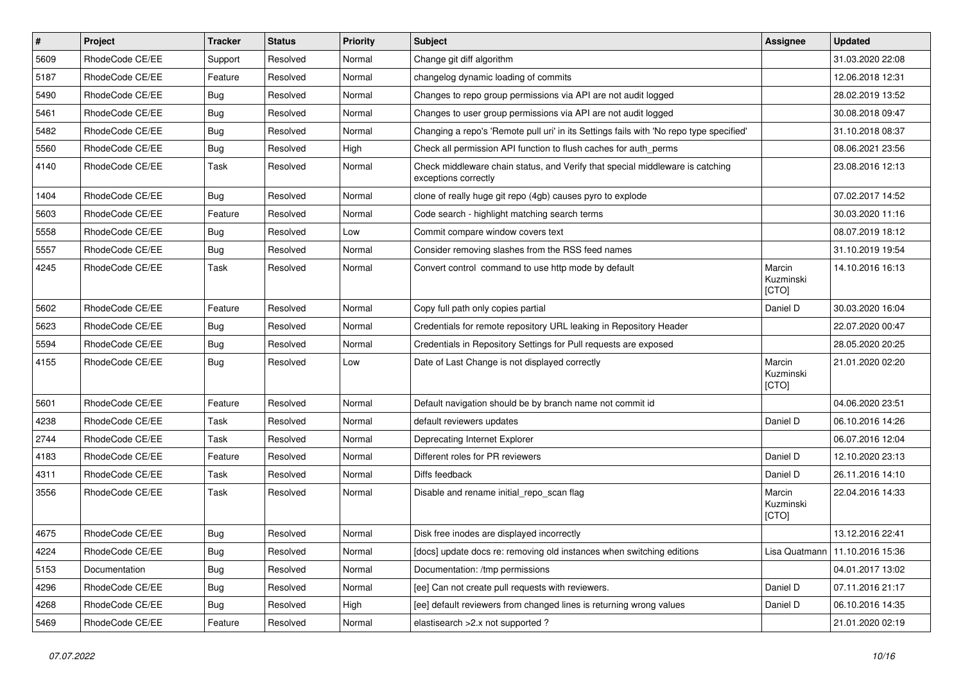| $\vert$ # | Project         | <b>Tracker</b> | <b>Status</b> | <b>Priority</b> | <b>Subject</b>                                                                                        | Assignee                     | <b>Updated</b>                   |
|-----------|-----------------|----------------|---------------|-----------------|-------------------------------------------------------------------------------------------------------|------------------------------|----------------------------------|
| 5609      | RhodeCode CE/EE | Support        | Resolved      | Normal          | Change git diff algorithm                                                                             |                              | 31.03.2020 22:08                 |
| 5187      | RhodeCode CE/EE | Feature        | Resolved      | Normal          | changelog dynamic loading of commits                                                                  |                              | 12.06.2018 12:31                 |
| 5490      | RhodeCode CE/EE | Bug            | Resolved      | Normal          | Changes to repo group permissions via API are not audit logged                                        |                              | 28.02.2019 13:52                 |
| 5461      | RhodeCode CE/EE | Bug            | Resolved      | Normal          | Changes to user group permissions via API are not audit logged                                        |                              | 30.08.2018 09:47                 |
| 5482      | RhodeCode CE/EE | <b>Bug</b>     | Resolved      | Normal          | Changing a repo's 'Remote pull uri' in its Settings fails with 'No repo type specified'               |                              | 31.10.2018 08:37                 |
| 5560      | RhodeCode CE/EE | Bug            | Resolved      | High            | Check all permission API function to flush caches for auth_perms                                      |                              | 08.06.2021 23:56                 |
| 4140      | RhodeCode CE/EE | Task           | Resolved      | Normal          | Check middleware chain status, and Verify that special middleware is catching<br>exceptions correctly |                              | 23.08.2016 12:13                 |
| 1404      | RhodeCode CE/EE | Bug            | Resolved      | Normal          | clone of really huge git repo (4gb) causes pyro to explode                                            |                              | 07.02.2017 14:52                 |
| 5603      | RhodeCode CE/EE | Feature        | Resolved      | Normal          | Code search - highlight matching search terms                                                         |                              | 30.03.2020 11:16                 |
| 5558      | RhodeCode CE/EE | Bug            | Resolved      | Low             | Commit compare window covers text                                                                     |                              | 08.07.2019 18:12                 |
| 5557      | RhodeCode CE/EE | Bug            | Resolved      | Normal          | Consider removing slashes from the RSS feed names                                                     |                              | 31.10.2019 19:54                 |
| 4245      | RhodeCode CE/EE | Task           | Resolved      | Normal          | Convert control command to use http mode by default                                                   | Marcin<br>Kuzminski<br>[CTO] | 14.10.2016 16:13                 |
| 5602      | RhodeCode CE/EE | Feature        | Resolved      | Normal          | Copy full path only copies partial                                                                    | Daniel D                     | 30.03.2020 16:04                 |
| 5623      | RhodeCode CE/EE | Bug            | Resolved      | Normal          | Credentials for remote repository URL leaking in Repository Header                                    |                              | 22.07.2020 00:47                 |
| 5594      | RhodeCode CE/EE | Bug            | Resolved      | Normal          | Credentials in Repository Settings for Pull requests are exposed                                      |                              | 28.05.2020 20:25                 |
| 4155      | RhodeCode CE/EE | Bug            | Resolved      | Low             | Date of Last Change is not displayed correctly                                                        | Marcin<br>Kuzminski<br>[CTO] | 21.01.2020 02:20                 |
| 5601      | RhodeCode CE/EE | Feature        | Resolved      | Normal          | Default navigation should be by branch name not commit id                                             |                              | 04.06.2020 23:51                 |
| 4238      | RhodeCode CE/EE | Task           | Resolved      | Normal          | default reviewers updates                                                                             | Daniel D                     | 06.10.2016 14:26                 |
| 2744      | RhodeCode CE/EE | Task           | Resolved      | Normal          | Deprecating Internet Explorer                                                                         |                              | 06.07.2016 12:04                 |
| 4183      | RhodeCode CE/EE | Feature        | Resolved      | Normal          | Different roles for PR reviewers                                                                      | Daniel D                     | 12.10.2020 23:13                 |
| 4311      | RhodeCode CE/EE | Task           | Resolved      | Normal          | Diffs feedback                                                                                        | Daniel D                     | 26.11.2016 14:10                 |
| 3556      | RhodeCode CE/EE | Task           | Resolved      | Normal          | Disable and rename initial repo scan flag                                                             | Marcin<br>Kuzminski<br>[CTO] | 22.04.2016 14:33                 |
| 4675      | RhodeCode CE/EE | Bug            | Resolved      | Normal          | Disk free inodes are displayed incorrectly                                                            |                              | 13.12.2016 22:41                 |
| 4224      | RhodeCode CE/EE | <b>Bug</b>     | Resolved      | Normal          | [docs] update docs re: removing old instances when switching editions                                 |                              | Lisa Quatmann   11.10.2016 15:36 |
| 5153      | Documentation   | Bug            | Resolved      | Normal          | Documentation: /tmp permissions                                                                       |                              | 04.01.2017 13:02                 |
| 4296      | RhodeCode CE/EE | <b>Bug</b>     | Resolved      | Normal          | [ee] Can not create pull requests with reviewers.                                                     | Daniel D                     | 07.11.2016 21:17                 |
| 4268      | RhodeCode CE/EE | <b>Bug</b>     | Resolved      | High            | [ee] default reviewers from changed lines is returning wrong values                                   | Daniel D                     | 06.10.2016 14:35                 |
| 5469      | RhodeCode CE/EE | Feature        | Resolved      | Normal          | elastisearch > 2.x not supported ?                                                                    |                              | 21.01.2020 02:19                 |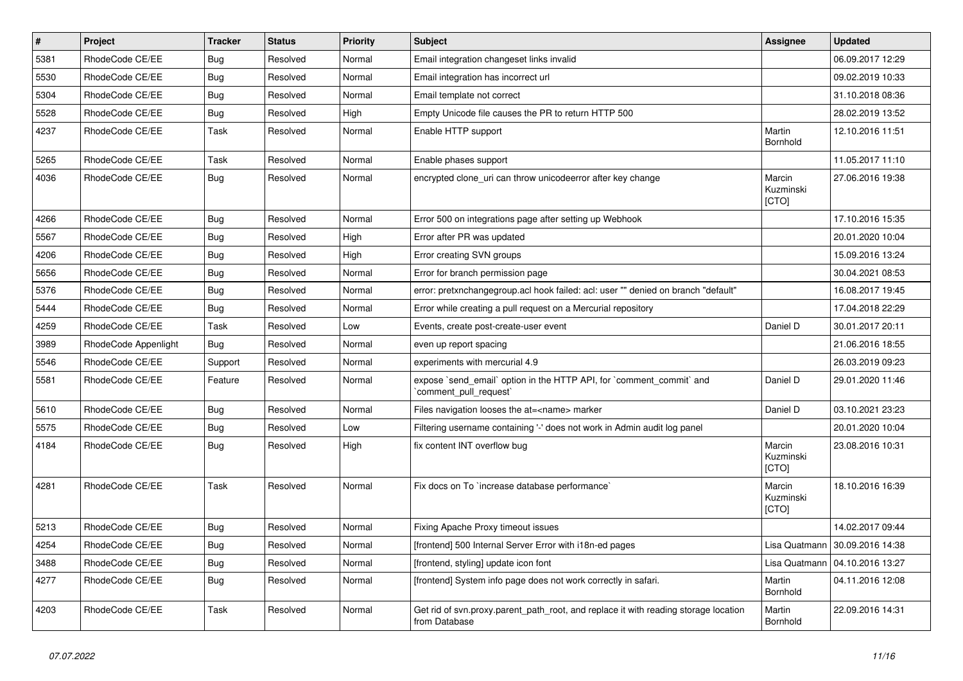| $\vert$ # | Project              | <b>Tracker</b> | <b>Status</b> | Priority | <b>Subject</b>                                                                                       | <b>Assignee</b>              | <b>Updated</b>                 |
|-----------|----------------------|----------------|---------------|----------|------------------------------------------------------------------------------------------------------|------------------------------|--------------------------------|
| 5381      | RhodeCode CE/EE      | Bug            | Resolved      | Normal   | Email integration changeset links invalid                                                            |                              | 06.09.2017 12:29               |
| 5530      | RhodeCode CE/EE      | Bug            | Resolved      | Normal   | Email integration has incorrect url                                                                  |                              | 09.02.2019 10:33               |
| 5304      | RhodeCode CE/EE      | Bug            | Resolved      | Normal   | Email template not correct                                                                           |                              | 31.10.2018 08:36               |
| 5528      | RhodeCode CE/EE      | Bug            | Resolved      | High     | Empty Unicode file causes the PR to return HTTP 500                                                  |                              | 28.02.2019 13:52               |
| 4237      | RhodeCode CE/EE      | Task           | Resolved      | Normal   | Enable HTTP support                                                                                  | Martin<br>Bornhold           | 12.10.2016 11:51               |
| 5265      | RhodeCode CE/EE      | Task           | Resolved      | Normal   | Enable phases support                                                                                |                              | 11.05.2017 11:10               |
| 4036      | RhodeCode CE/EE      | Bug            | Resolved      | Normal   | encrypted clone uri can throw unicodeerror after key change                                          | Marcin<br>Kuzminski<br>[CTO] | 27.06.2016 19:38               |
| 4266      | RhodeCode CE/EE      | Bug            | Resolved      | Normal   | Error 500 on integrations page after setting up Webhook                                              |                              | 17.10.2016 15:35               |
| 5567      | RhodeCode CE/EE      | Bug            | Resolved      | High     | Error after PR was updated                                                                           |                              | 20.01.2020 10:04               |
| 4206      | RhodeCode CE/EE      | <b>Bug</b>     | Resolved      | High     | Error creating SVN groups                                                                            |                              | 15.09.2016 13:24               |
| 5656      | RhodeCode CE/EE      | Bug            | Resolved      | Normal   | Error for branch permission page                                                                     |                              | 30.04.2021 08:53               |
| 5376      | RhodeCode CE/EE      | <b>Bug</b>     | Resolved      | Normal   | error: pretxnchangegroup.acl hook failed: acl: user "" denied on branch "default"                    |                              | 16.08.2017 19:45               |
| 5444      | RhodeCode CE/EE      | Bug            | Resolved      | Normal   | Error while creating a pull request on a Mercurial repository                                        |                              | 17.04.2018 22:29               |
| 4259      | RhodeCode CE/EE      | Task           | Resolved      | Low      | Events, create post-create-user event                                                                | Daniel D                     | 30.01.2017 20:11               |
| 3989      | RhodeCode Appenlight | Bug            | Resolved      | Normal   | even up report spacing                                                                               |                              | 21.06.2016 18:55               |
| 5546      | RhodeCode CE/EE      | Support        | Resolved      | Normal   | experiments with mercurial 4.9                                                                       |                              | 26.03.2019 09:23               |
| 5581      | RhodeCode CE/EE      | Feature        | Resolved      | Normal   | expose `send_email` option in the HTTP API, for `comment_commit` and<br>`comment pull request`       | Daniel D                     | 29.01.2020 11:46               |
| 5610      | RhodeCode CE/EE      | Bug            | Resolved      | Normal   | Files navigation looses the at= <name> marker</name>                                                 | Daniel D                     | 03.10.2021 23:23               |
| 5575      | RhodeCode CE/EE      | Bug            | Resolved      | Low      | Filtering username containing '-' does not work in Admin audit log panel                             |                              | 20.01.2020 10:04               |
| 4184      | RhodeCode CE/EE      | Bug            | Resolved      | High     | fix content INT overflow bug                                                                         | Marcin<br>Kuzminski<br>[CTO] | 23.08.2016 10:31               |
| 4281      | RhodeCode CE/EE      | Task           | Resolved      | Normal   | Fix docs on To `increase database performance`                                                       | Marcin<br>Kuzminski<br>[CTO] | 18.10.2016 16:39               |
| 5213      | RhodeCode CE/EE      | Bug            | Resolved      | Normal   | Fixing Apache Proxy timeout issues                                                                   |                              | 14.02.2017 09:44               |
| 4254      | RhodeCode CE/EE      | <b>Bug</b>     | Resolved      | Normal   | [frontend] 500 Internal Server Error with i18n-ed pages                                              |                              | Lisa Quatmann 30.09.2016 14:38 |
| 3488      | RhodeCode CE/EE      | Bug            | Resolved      | Normal   | [frontend, styling] update icon font                                                                 | Lisa Quatmann                | 04.10.2016 13:27               |
| 4277      | RhodeCode CE/EE      | <b>Bug</b>     | Resolved      | Normal   | [frontend] System info page does not work correctly in safari.                                       | Martin<br>Bornhold           | 04.11.2016 12:08               |
| 4203      | RhodeCode CE/EE      | Task           | Resolved      | Normal   | Get rid of svn.proxy.parent_path_root, and replace it with reading storage location<br>from Database | Martin<br>Bornhold           | 22.09.2016 14:31               |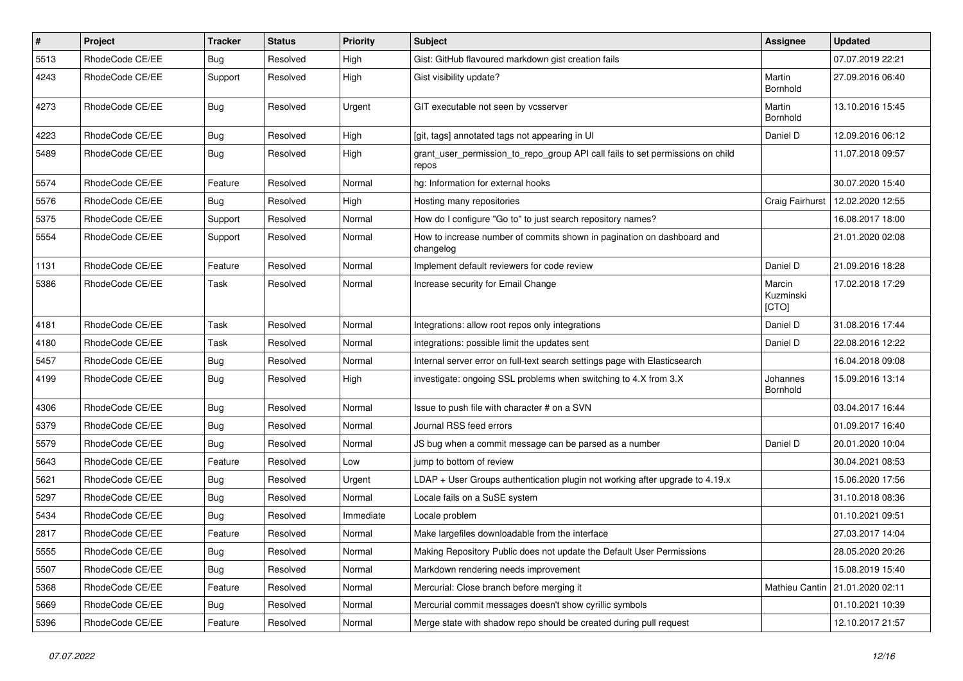| $\vert$ # | Project         | Tracker    | <b>Status</b> | <b>Priority</b> | Subject                                                                                 | Assignee                     | <b>Updated</b>   |
|-----------|-----------------|------------|---------------|-----------------|-----------------------------------------------------------------------------------------|------------------------------|------------------|
| 5513      | RhodeCode CE/EE | <b>Bug</b> | Resolved      | High            | Gist: GitHub flavoured markdown gist creation fails                                     |                              | 07.07.2019 22:21 |
| 4243      | RhodeCode CE/EE | Support    | Resolved      | High            | Gist visibility update?                                                                 | Martin<br>Bornhold           | 27.09.2016 06:40 |
| 4273      | RhodeCode CE/EE | <b>Bug</b> | Resolved      | Urgent          | GIT executable not seen by vcsserver                                                    | Martin<br>Bornhold           | 13.10.2016 15:45 |
| 4223      | RhodeCode CE/EE | <b>Bug</b> | Resolved      | High            | [git, tags] annotated tags not appearing in UI                                          | Daniel D                     | 12.09.2016 06:12 |
| 5489      | RhodeCode CE/EE | Bug        | Resolved      | High            | grant_user_permission_to_repo_group API call fails to set permissions on child<br>repos |                              | 11.07.2018 09:57 |
| 5574      | RhodeCode CE/EE | Feature    | Resolved      | Normal          | hg: Information for external hooks                                                      |                              | 30.07.2020 15:40 |
| 5576      | RhodeCode CE/EE | Bug        | Resolved      | High            | Hosting many repositories                                                               | Craig Fairhurst              | 12.02.2020 12:55 |
| 5375      | RhodeCode CE/EE | Support    | Resolved      | Normal          | How do I configure "Go to" to just search repository names?                             |                              | 16.08.2017 18:00 |
| 5554      | RhodeCode CE/EE | Support    | Resolved      | Normal          | How to increase number of commits shown in pagination on dashboard and<br>changelog     |                              | 21.01.2020 02:08 |
| 1131      | RhodeCode CE/EE | Feature    | Resolved      | Normal          | Implement default reviewers for code review                                             | Daniel D                     | 21.09.2016 18:28 |
| 5386      | RhodeCode CE/EE | Task       | Resolved      | Normal          | Increase security for Email Change                                                      | Marcin<br>Kuzminski<br>[CTO] | 17.02.2018 17:29 |
| 4181      | RhodeCode CE/EE | Task       | Resolved      | Normal          | Integrations: allow root repos only integrations                                        | Daniel D                     | 31.08.2016 17:44 |
| 4180      | RhodeCode CE/EE | Task       | Resolved      | Normal          | integrations: possible limit the updates sent                                           | Daniel D                     | 22.08.2016 12:22 |
| 5457      | RhodeCode CE/EE | <b>Bug</b> | Resolved      | Normal          | Internal server error on full-text search settings page with Elasticsearch              |                              | 16.04.2018 09:08 |
| 4199      | RhodeCode CE/EE | <b>Bug</b> | Resolved      | High            | investigate: ongoing SSL problems when switching to 4.X from 3.X                        | Johannes<br>Bornhold         | 15.09.2016 13:14 |
| 4306      | RhodeCode CE/EE | <b>Bug</b> | Resolved      | Normal          | Issue to push file with character # on a SVN                                            |                              | 03.04.2017 16:44 |
| 5379      | RhodeCode CE/EE | <b>Bug</b> | Resolved      | Normal          | Journal RSS feed errors                                                                 |                              | 01.09.2017 16:40 |
| 5579      | RhodeCode CE/EE | <b>Bug</b> | Resolved      | Normal          | JS bug when a commit message can be parsed as a number                                  | Daniel D                     | 20.01.2020 10:04 |
| 5643      | RhodeCode CE/EE | Feature    | Resolved      | Low             | jump to bottom of review                                                                |                              | 30.04.2021 08:53 |
| 5621      | RhodeCode CE/EE | <b>Bug</b> | Resolved      | Urgent          | LDAP + User Groups authentication plugin not working after upgrade to 4.19.x            |                              | 15.06.2020 17:56 |
| 5297      | RhodeCode CE/EE | <b>Bug</b> | Resolved      | Normal          | Locale fails on a SuSE system                                                           |                              | 31.10.2018 08:36 |
| 5434      | RhodeCode CE/EE | <b>Bug</b> | Resolved      | Immediate       | Locale problem                                                                          |                              | 01.10.2021 09:51 |
| 2817      | RhodeCode CE/EE | Feature    | Resolved      | Normal          | Make largefiles downloadable from the interface                                         |                              | 27.03.2017 14:04 |
| 5555      | RhodeCode CE/EE | Bug        | Resolved      | Normal          | Making Repository Public does not update the Default User Permissions                   |                              | 28.05.2020 20:26 |
| 5507      | RhodeCode CE/EE | Bug        | Resolved      | Normal          | Markdown rendering needs improvement                                                    |                              | 15.08.2019 15:40 |
| 5368      | RhodeCode CE/EE | Feature    | Resolved      | Normal          | Mercurial: Close branch before merging it                                               | Mathieu Cantin               | 21.01.2020 02:11 |
| 5669      | RhodeCode CE/EE | <b>Bug</b> | Resolved      | Normal          | Mercurial commit messages doesn't show cyrillic symbols                                 |                              | 01.10.2021 10:39 |
| 5396      | RhodeCode CE/EE | Feature    | Resolved      | Normal          | Merge state with shadow repo should be created during pull request                      |                              | 12.10.2017 21:57 |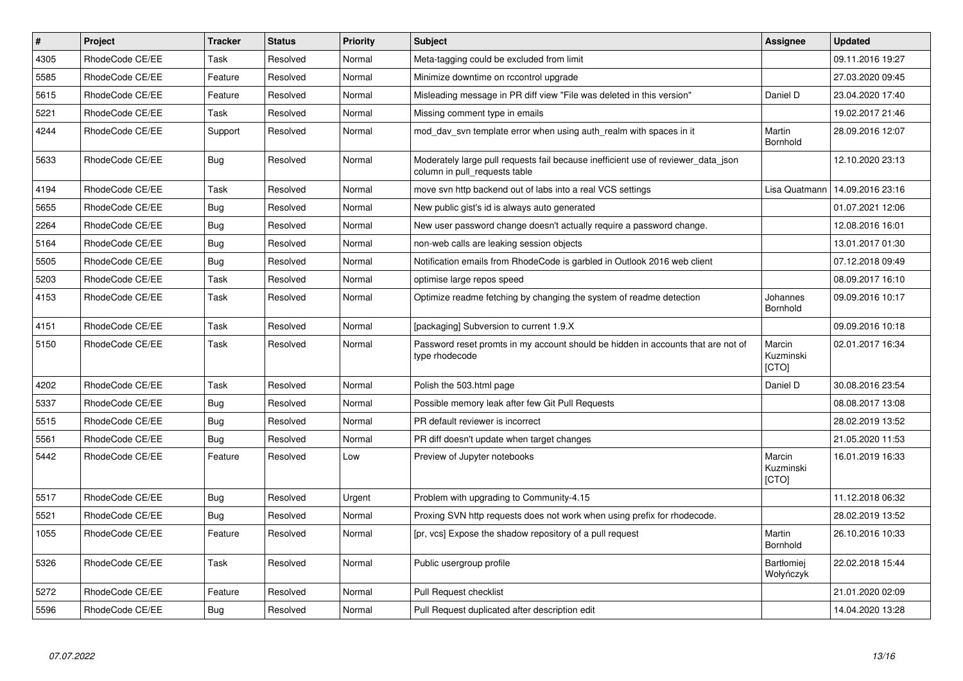| $\vert$ # | <b>Project</b>  | <b>Tracker</b> | <b>Status</b> | Priority | <b>Subject</b>                                                                                                     | Assignee                       | <b>Updated</b>   |
|-----------|-----------------|----------------|---------------|----------|--------------------------------------------------------------------------------------------------------------------|--------------------------------|------------------|
| 4305      | RhodeCode CE/EE | Task           | Resolved      | Normal   | Meta-tagging could be excluded from limit                                                                          |                                | 09.11.2016 19:27 |
| 5585      | RhodeCode CE/EE | Feature        | Resolved      | Normal   | Minimize downtime on rccontrol upgrade                                                                             |                                | 27.03.2020 09:45 |
| 5615      | RhodeCode CE/EE | Feature        | Resolved      | Normal   | Misleading message in PR diff view "File was deleted in this version"                                              | Daniel D                       | 23.04.2020 17:40 |
| 5221      | RhodeCode CE/EE | Task           | Resolved      | Normal   | Missing comment type in emails                                                                                     |                                | 19.02.2017 21:46 |
| 4244      | RhodeCode CE/EE | Support        | Resolved      | Normal   | mod day syn template error when using auth realm with spaces in it                                                 | Martin<br>Bornhold             | 28.09.2016 12:07 |
| 5633      | RhodeCode CE/EE | Bug            | Resolved      | Normal   | Moderately large pull requests fail because inefficient use of reviewer_data_json<br>column in pull_requests table |                                | 12.10.2020 23:13 |
| 4194      | RhodeCode CE/EE | Task           | Resolved      | Normal   | move svn http backend out of labs into a real VCS settings                                                         | Lisa Quatmann                  | 14.09.2016 23:16 |
| 5655      | RhodeCode CE/EE | Bug            | Resolved      | Normal   | New public gist's id is always auto generated                                                                      |                                | 01.07.2021 12:06 |
| 2264      | RhodeCode CE/EE | Bug            | Resolved      | Normal   | New user password change doesn't actually require a password change.                                               |                                | 12.08.2016 16:01 |
| 5164      | RhodeCode CE/EE | Bug            | Resolved      | Normal   | non-web calls are leaking session objects                                                                          |                                | 13.01.2017 01:30 |
| 5505      | RhodeCode CE/EE | Bug            | Resolved      | Normal   | Notification emails from RhodeCode is garbled in Outlook 2016 web client                                           |                                | 07.12.2018 09:49 |
| 5203      | RhodeCode CE/EE | Task           | Resolved      | Normal   | optimise large repos speed                                                                                         |                                | 08.09.2017 16:10 |
| 4153      | RhodeCode CE/EE | Task           | Resolved      | Normal   | Optimize readme fetching by changing the system of readme detection                                                | Johannes<br>Bornhold           | 09.09.2016 10:17 |
| 4151      | RhodeCode CE/EE | Task           | Resolved      | Normal   | [packaging] Subversion to current 1.9.X                                                                            |                                | 09.09.2016 10:18 |
| 5150      | RhodeCode CE/EE | Task           | Resolved      | Normal   | Password reset promts in my account should be hidden in accounts that are not of<br>type rhodecode                 | Marcin<br>Kuzminski<br>[CTO]   | 02.01.2017 16:34 |
| 4202      | RhodeCode CE/EE | Task           | Resolved      | Normal   | Polish the 503.html page                                                                                           | Daniel D                       | 30.08.2016 23:54 |
| 5337      | RhodeCode CE/EE | Bug            | Resolved      | Normal   | Possible memory leak after few Git Pull Requests                                                                   |                                | 08.08.2017 13:08 |
| 5515      | RhodeCode CE/EE | <b>Bug</b>     | Resolved      | Normal   | PR default reviewer is incorrect                                                                                   |                                | 28.02.2019 13:52 |
| 5561      | RhodeCode CE/EE | Bug            | Resolved      | Normal   | PR diff doesn't update when target changes                                                                         |                                | 21.05.2020 11:53 |
| 5442      | RhodeCode CE/EE | Feature        | Resolved      | Low      | Preview of Jupyter notebooks                                                                                       | Marcin<br>Kuzminski<br>[CTO]   | 16.01.2019 16:33 |
| 5517      | RhodeCode CE/EE | Bug            | Resolved      | Urgent   | Problem with upgrading to Community-4.15                                                                           |                                | 11.12.2018 06:32 |
| 5521      | RhodeCode CE/EE | Bug            | Resolved      | Normal   | Proxing SVN http requests does not work when using prefix for rhodecode.                                           |                                | 28.02.2019 13:52 |
| 1055      | RhodeCode CE/EE | Feature        | Resolved      | Normal   | [pr, vcs] Expose the shadow repository of a pull request                                                           | Martin<br>Bornhold             | 26.10.2016 10:33 |
| 5326      | RhodeCode CE/EE | Task           | Resolved      | Normal   | Public usergroup profile                                                                                           | <b>Bartłomiei</b><br>Wołyńczyk | 22.02.2018 15:44 |
| 5272      | RhodeCode CE/EE | Feature        | Resolved      | Normal   | <b>Pull Request checklist</b>                                                                                      |                                | 21.01.2020 02:09 |
| 5596      | RhodeCode CE/EE | <b>Bug</b>     | Resolved      | Normal   | Pull Request duplicated after description edit                                                                     |                                | 14.04.2020 13:28 |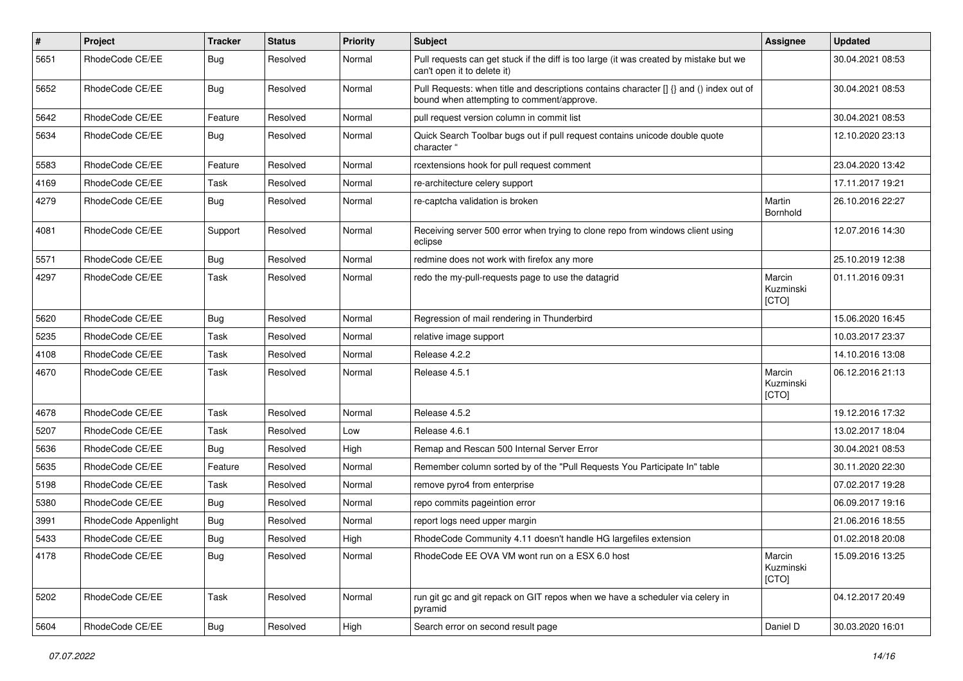| $\pmb{\#}$ | Project              | <b>Tracker</b> | <b>Status</b> | <b>Priority</b> | <b>Subject</b>                                                                                                                       | Assignee                     | <b>Updated</b>   |
|------------|----------------------|----------------|---------------|-----------------|--------------------------------------------------------------------------------------------------------------------------------------|------------------------------|------------------|
| 5651       | RhodeCode CE/EE      | Bug            | Resolved      | Normal          | Pull requests can get stuck if the diff is too large (it was created by mistake but we<br>can't open it to delete it)                |                              | 30.04.2021 08:53 |
| 5652       | RhodeCode CE/EE      | Bug            | Resolved      | Normal          | Pull Requests: when title and descriptions contains character [] {} and () index out of<br>bound when attempting to comment/approve. |                              | 30.04.2021 08:53 |
| 5642       | RhodeCode CE/EE      | Feature        | Resolved      | Normal          | pull request version column in commit list                                                                                           |                              | 30.04.2021 08:53 |
| 5634       | RhodeCode CE/EE      | Bug            | Resolved      | Normal          | Quick Search Toolbar bugs out if pull request contains unicode double quote<br>character "                                           |                              | 12.10.2020 23:13 |
| 5583       | RhodeCode CE/EE      | Feature        | Resolved      | Normal          | rcextensions hook for pull request comment                                                                                           |                              | 23.04.2020 13:42 |
| 4169       | RhodeCode CE/EE      | Task           | Resolved      | Normal          | re-architecture celery support                                                                                                       |                              | 17.11.2017 19:21 |
| 4279       | RhodeCode CE/EE      | Bug            | Resolved      | Normal          | re-captcha validation is broken                                                                                                      | Martin<br><b>Bornhold</b>    | 26.10.2016 22:27 |
| 4081       | RhodeCode CE/EE      | Support        | Resolved      | Normal          | Receiving server 500 error when trying to clone repo from windows client using<br>eclipse                                            |                              | 12.07.2016 14:30 |
| 5571       | RhodeCode CE/EE      | Bug            | Resolved      | Normal          | redmine does not work with firefox any more                                                                                          |                              | 25.10.2019 12:38 |
| 4297       | RhodeCode CE/EE      | Task           | Resolved      | Normal          | redo the my-pull-requests page to use the datagrid                                                                                   | Marcin<br>Kuzminski<br>[CTO] | 01.11.2016 09:31 |
| 5620       | RhodeCode CE/EE      | Bug            | Resolved      | Normal          | Regression of mail rendering in Thunderbird                                                                                          |                              | 15.06.2020 16:45 |
| 5235       | RhodeCode CE/EE      | Task           | Resolved      | Normal          | relative image support                                                                                                               |                              | 10.03.2017 23:37 |
| 4108       | RhodeCode CE/EE      | Task           | Resolved      | Normal          | Release 4.2.2                                                                                                                        |                              | 14.10.2016 13:08 |
| 4670       | RhodeCode CE/EE      | Task           | Resolved      | Normal          | Release 4.5.1                                                                                                                        | Marcin<br>Kuzminski<br>[CTO] | 06.12.2016 21:13 |
| 4678       | RhodeCode CE/EE      | Task           | Resolved      | Normal          | Release 4.5.2                                                                                                                        |                              | 19.12.2016 17:32 |
| 5207       | RhodeCode CE/EE      | Task           | Resolved      | Low             | Release 4.6.1                                                                                                                        |                              | 13.02.2017 18:04 |
| 5636       | RhodeCode CE/EE      | <b>Bug</b>     | Resolved      | High            | Remap and Rescan 500 Internal Server Error                                                                                           |                              | 30.04.2021 08:53 |
| 5635       | RhodeCode CE/EE      | Feature        | Resolved      | Normal          | Remember column sorted by of the "Pull Requests You Participate In" table                                                            |                              | 30.11.2020 22:30 |
| 5198       | RhodeCode CE/EE      | Task           | Resolved      | Normal          | remove pyro4 from enterprise                                                                                                         |                              | 07.02.2017 19:28 |
| 5380       | RhodeCode CE/EE      | Bug            | Resolved      | Normal          | repo commits pageintion error                                                                                                        |                              | 06.09.2017 19:16 |
| 3991       | RhodeCode Appenlight | <b>Bug</b>     | Resolved      | Normal          | report logs need upper margin                                                                                                        |                              | 21.06.2016 18:55 |
| 5433       | RhodeCode CE/EE      | Bug            | Resolved      | High            | RhodeCode Community 4.11 doesn't handle HG largefiles extension                                                                      |                              | 01.02.2018 20:08 |
| 4178       | RhodeCode CE/EE      | Bug            | Resolved      | Normal          | RhodeCode EE OVA VM wont run on a ESX 6.0 host                                                                                       | Marcin<br>Kuzminski<br>[CTO] | 15.09.2016 13:25 |
| 5202       | RhodeCode CE/EE      | Task           | Resolved      | Normal          | run git gc and git repack on GIT repos when we have a scheduler via celery in<br>pyramid                                             |                              | 04.12.2017 20:49 |
| 5604       | RhodeCode CE/EE      | Bug            | Resolved      | High            | Search error on second result page                                                                                                   | Daniel D                     | 30.03.2020 16:01 |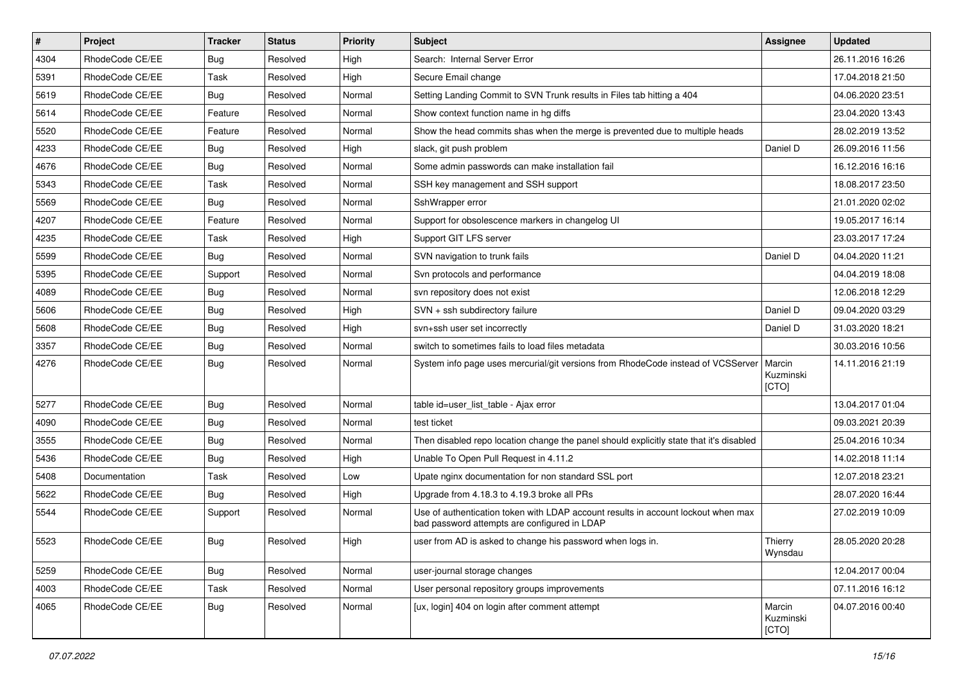| $\vert$ # | Project         | <b>Tracker</b> | <b>Status</b> | Priority | <b>Subject</b>                                                                                                                    | <b>Assignee</b>              | <b>Updated</b>   |
|-----------|-----------------|----------------|---------------|----------|-----------------------------------------------------------------------------------------------------------------------------------|------------------------------|------------------|
| 4304      | RhodeCode CE/EE | Bug            | Resolved      | High     | Search: Internal Server Error                                                                                                     |                              | 26.11.2016 16:26 |
| 5391      | RhodeCode CE/EE | Task           | Resolved      | High     | Secure Email change                                                                                                               |                              | 17.04.2018 21:50 |
| 5619      | RhodeCode CE/EE | <b>Bug</b>     | Resolved      | Normal   | Setting Landing Commit to SVN Trunk results in Files tab hitting a 404                                                            |                              | 04.06.2020 23:51 |
| 5614      | RhodeCode CE/EE | Feature        | Resolved      | Normal   | Show context function name in hg diffs                                                                                            |                              | 23.04.2020 13:43 |
| 5520      | RhodeCode CE/EE | Feature        | Resolved      | Normal   | Show the head commits shas when the merge is prevented due to multiple heads                                                      |                              | 28.02.2019 13:52 |
| 4233      | RhodeCode CE/EE | Bug            | Resolved      | High     | slack, git push problem                                                                                                           | Daniel D                     | 26.09.2016 11:56 |
| 4676      | RhodeCode CE/EE | Bug            | Resolved      | Normal   | Some admin passwords can make installation fail                                                                                   |                              | 16.12.2016 16:16 |
| 5343      | RhodeCode CE/EE | Task           | Resolved      | Normal   | SSH key management and SSH support                                                                                                |                              | 18.08.2017 23:50 |
| 5569      | RhodeCode CE/EE | Bug            | Resolved      | Normal   | SshWrapper error                                                                                                                  |                              | 21.01.2020 02:02 |
| 4207      | RhodeCode CE/EE | Feature        | Resolved      | Normal   | Support for obsolescence markers in changelog UI                                                                                  |                              | 19.05.2017 16:14 |
| 4235      | RhodeCode CE/EE | Task           | Resolved      | High     | Support GIT LFS server                                                                                                            |                              | 23.03.2017 17:24 |
| 5599      | RhodeCode CE/EE | Bug            | Resolved      | Normal   | SVN navigation to trunk fails                                                                                                     | Daniel D                     | 04.04.2020 11:21 |
| 5395      | RhodeCode CE/EE | Support        | Resolved      | Normal   | Svn protocols and performance                                                                                                     |                              | 04.04.2019 18:08 |
| 4089      | RhodeCode CE/EE | Bug            | Resolved      | Normal   | svn repository does not exist                                                                                                     |                              | 12.06.2018 12:29 |
| 5606      | RhodeCode CE/EE | Bug            | Resolved      | High     | SVN + ssh subdirectory failure                                                                                                    | Daniel D                     | 09.04.2020 03:29 |
| 5608      | RhodeCode CE/EE | <b>Bug</b>     | Resolved      | High     | svn+ssh user set incorrectly                                                                                                      | Daniel D                     | 31.03.2020 18:21 |
| 3357      | RhodeCode CE/EE | Bug            | Resolved      | Normal   | switch to sometimes fails to load files metadata                                                                                  |                              | 30.03.2016 10:56 |
| 4276      | RhodeCode CE/EE | Bug            | Resolved      | Normal   | System info page uses mercurial/git versions from RhodeCode instead of VCSServer                                                  | Marcin<br>Kuzminski<br>[CTO] | 14.11.2016 21:19 |
| 5277      | RhodeCode CE/EE | Bug            | Resolved      | Normal   | table id=user_list_table - Ajax error                                                                                             |                              | 13.04.2017 01:04 |
| 4090      | RhodeCode CE/EE | Bug            | Resolved      | Normal   | test ticket                                                                                                                       |                              | 09.03.2021 20:39 |
| 3555      | RhodeCode CE/EE | Bug            | Resolved      | Normal   | Then disabled repo location change the panel should explicitly state that it's disabled                                           |                              | 25.04.2016 10:34 |
| 5436      | RhodeCode CE/EE | Bug            | Resolved      | High     | Unable To Open Pull Request in 4.11.2                                                                                             |                              | 14.02.2018 11:14 |
| 5408      | Documentation   | Task           | Resolved      | Low      | Upate nginx documentation for non standard SSL port                                                                               |                              | 12.07.2018 23:21 |
| 5622      | RhodeCode CE/EE | Bug            | Resolved      | High     | Upgrade from 4.18.3 to 4.19.3 broke all PRs                                                                                       |                              | 28.07.2020 16:44 |
| 5544      | RhodeCode CE/EE | Support        | Resolved      | Normal   | Use of authentication token with LDAP account results in account lockout when max<br>bad password attempts are configured in LDAP |                              | 27.02.2019 10:09 |
| 5523      | RhodeCode CE/EE | Bug            | Resolved      | High     | user from AD is asked to change his password when logs in.                                                                        | Thierry<br>Wynsdau           | 28.05.2020 20:28 |
| 5259      | RhodeCode CE/EE | Bug            | Resolved      | Normal   | user-journal storage changes                                                                                                      |                              | 12.04.2017 00:04 |
| 4003      | RhodeCode CE/EE | Task           | Resolved      | Normal   | User personal repository groups improvements                                                                                      |                              | 07.11.2016 16:12 |
| 4065      | RhodeCode CE/EE | Bug            | Resolved      | Normal   | [ux, login] 404 on login after comment attempt                                                                                    | Marcin<br>Kuzminski<br>[CTO] | 04.07.2016 00:40 |